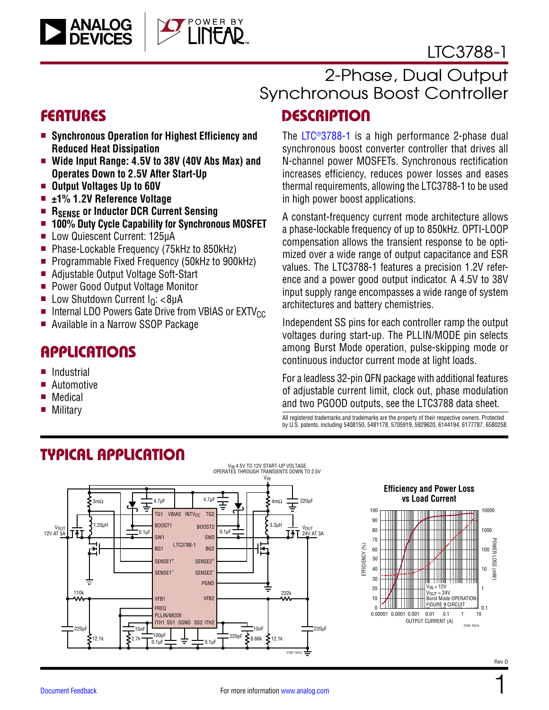

# 2-Phase, Dual Output Synchronous Boost Controller

### **FEATURES**

■ Synchronous Operation for Highest Efficiency and **Reduced Heat Dissipation**

OWER BY

- Wide Input Range: 4.5V to 38V (40V Abs Max) and **Operates Down to 2.5V After Start-Up**
- **n** Output Voltages Up to 60V

ANALOG<br>DEVICES

- ±1% 1.2V Reference Voltage
- **n** R<sub>SENSE</sub> or Inductor DCR Current Sensing
- 100% Duty Cycle Capability for Synchronous MOSFET
- Low Quiescent Current: 125µA
- Phase-Lockable Frequency (75kHz to 850kHz)
- Programmable Fixed Frequency (50kHz to 900kHz)
- Adjustable Output Voltage Soft-Start
- Power Good Output Voltage Monitor
- **E** Low Shutdown Current  $I<sub>Q</sub>: < 8\mu A$
- $\blacksquare$  Internal LDO Powers Gate Drive from VBIAS or EXTV $_{\text{CC}}$
- Available in a Narrow SSOP Package

### **APPLICATIONS**

- **Industrial**
- **Automotive**
- $\blacksquare$  Medical
- **Military**

# **DESCRIPTION**

The [LTC®3788-1](http://www.analog.com/LTC3788-1?doc=LTC3788-1.pdf) is a high performance 2-phase dual synchronous boost converter controller that drives all N-channel power MOSFETs. Synchronous rectification increases efficiency, reduces power losses and eases thermal requirements, allowing the LTC3788-1 to be used in high power boost applications.

A constant-frequency current mode architecture allows a phase-lockable frequency of up to 850kHz. OPTI-LOOP compensation allows the transient response to be optimized over a wide range of output capacitance and ESR values. The LTC3788-1 features a precision 1.2V reference and a power good output indicator. A 4.5V to 38V input supply range encompasses a wide range of system architectures and battery chemistries.

Independent SS pins for each controller ramp the output voltages during start-up. The PLLIN/MODE pin selects among Burst Mode operation, pulse-skipping mode or continuous inductor current mode at light loads.

For a leadless 32-pin QFN package with additional features of adjustable current limit, clock out, phase modulation and two PGOOD outputs, see the [LTC3788](http://www.analog.com/LTC3788?doc=LTC3788-1.pdf) data sheet.

All registered trademarks and trademarks are the property of their respective owners. Protected by U.S. patents, including 5408150, 5481178, 5705919, 5929620, 6144194, 6177787, 6580258.

<span id="page-0-0"></span>



37881 TA01b

1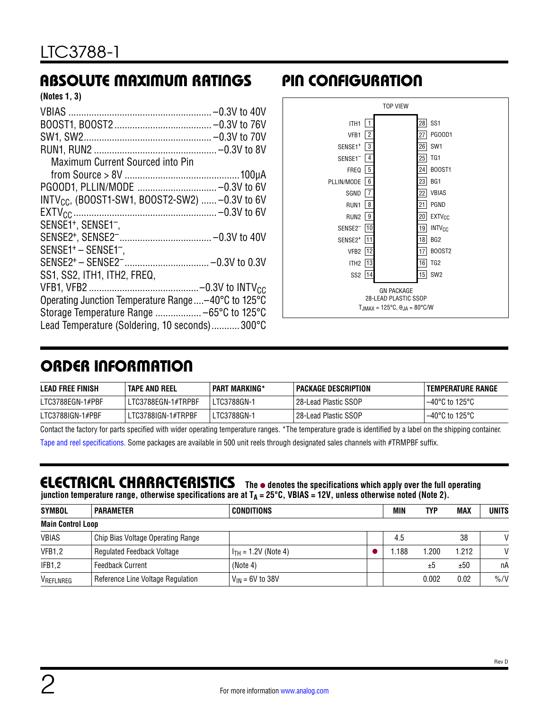# ABSOLUTE MAXIMUM RATINGS PIN CONFIGURATION

| (Notes 1, 3) |  |  |
|--------------|--|--|
|--------------|--|--|

| Maximum Current Sourced into Pin                           |
|------------------------------------------------------------|
|                                                            |
| PG00D1, PLLIN/MODE  -0.3V to 6V                            |
| INTV <sub>CC</sub> , (BOOST1-SW1, BOOST2-SW2)  -0.3V to 6V |
|                                                            |
| SENSE1 <sup>+</sup> , SENSE1 <sup>-</sup> ,                |
|                                                            |
| SENSE1+ - SENSE1 <sup>-</sup> ,                            |
|                                                            |
| SS1, SS2, ITH1, ITH2, FREQ,                                |
|                                                            |
| Operating Junction Temperature Range-40°C to 125°C         |
| Storage Temperature Range  -65°C to 125°C                  |
| Lead Temperature (Soldering, 10 seconds)300°C              |



# ORDER INFORMATION

| <b>LEAD FREE FINISH</b> | <b>TAPE AND REEL</b> | <b>PART MARKING*</b> | <b>PACKAGE DESCRIPTION</b> | I TEMPERATURE RANGE      |
|-------------------------|----------------------|----------------------|----------------------------|--------------------------|
| LTC3788EGN-1#PBF        | LTC3788EGN-1#TRPBF   | LTC3788GN-1          | 28-Lead Plastic SSOP       | $-40^{\circ}$ C to 125°C |
| LTC3788IGN-1#PBF        | LTC3788IGN-1#TRPBF   | LTC3788GN-1          | l 28-Lead Plastic SSOP     | $-40^{\circ}$ C to 125°C |

Contact the factory for parts specified with wider operating temperature ranges. \*The temperature grade is identified by a label on the shipping container.

[Tape and reel specifications](http://www.analog.com/media/en/package-pcb-resources/package/tape-reel-rev-n.pdf). Some packages are available in 500 unit reels through designated sales channels with #TRMPBF suffix.

### <span id="page-1-0"></span>**ELECTRICAL CHARACTERISTICS** The  $\bullet$  denotes the specifications which apply over the full operating

**junction temperature range, otherwise specifications are at TA = 25°C, VBIAS = 12V, unless otherwise noted (Note 2).**

| <b>SYMBOL</b>            | <b>PARAMETER</b>                  | <b>CONDITIONS</b>        | MIN  | TYP   | <b>MAX</b> | <b>UNITS</b>     |
|--------------------------|-----------------------------------|--------------------------|------|-------|------------|------------------|
| <b>Main Control Loop</b> |                                   |                          |      |       |            |                  |
| <b>VBIAS</b>             | Chip Bias Voltage Operating Range |                          | 4.5  |       | 38         | V                |
| VFB1,2                   | <b>Regulated Feedback Voltage</b> | $I_{TH} = 1.2V$ (Note 4) | .188 | 1.200 | 1.212      | $\mathsf{V}$     |
| IFB1,2                   | <b>Feedback Current</b>           | (Note 4)                 |      | ±5    | ±50        | пA               |
| VREFLNREG                | Reference Line Voltage Regulation | $V_{IN}$ = 6V to 38V     |      | 0.002 | 0.02       | $\frac{9}{6}$ /V |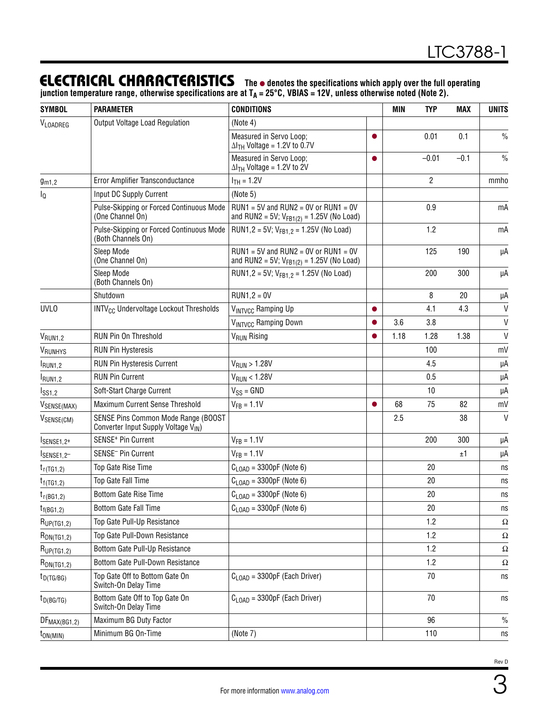### **ELECTRICAL CHARACTERISTICS** The  $\bullet$  denotes the specifications which apply over the full operating

**junction temperature range, otherwise specifications are at TA = 25°C, VBIAS = 12V, unless otherwise noted (Note 2).**

| <b>SYMBOL</b>       | <b>PARAMETER</b>                                                           | <b>CONDITIONS</b>                                                                           |           | <b>MIN</b> | <b>TYP</b>     | <b>MAX</b> | <b>UNITS</b>  |
|---------------------|----------------------------------------------------------------------------|---------------------------------------------------------------------------------------------|-----------|------------|----------------|------------|---------------|
| VLOADREG            | Output Voltage Load Regulation                                             | (Note 4)                                                                                    |           |            |                |            |               |
|                     |                                                                            | Measured in Servo Loop;<br>$\Delta I$ <sub>TH</sub> Voltage = 1.2V to 0.7V                  | ●         |            | 0.01           | 0.1        | $\frac{0}{0}$ |
|                     |                                                                            | Measured in Servo Loop;<br>$\Delta I$ <sub>TH</sub> Voltage = 1.2V to 2V                    | $\bullet$ |            | $-0.01$        | $-0.1$     | $\frac{0}{0}$ |
| $g_{m1,2}$          | Error Amplifier Transconductance                                           | $I_{TH} = 1.2V$                                                                             |           |            | $\overline{2}$ |            | mmho          |
| $I_{\mathbb{Q}}$    | Input DC Supply Current                                                    | (Note 5)                                                                                    |           |            |                |            |               |
|                     | Pulse-Skipping or Forced Continuous Mode<br>(One Channel On)               | $RUN1 = 5V$ and $RUN2 = 0V$ or $RUN1 = 0V$<br>and RUN2 = 5V; $V_{FB1(2)} = 1.25V$ (No Load) |           |            | 0.9            |            | mA            |
|                     | Pulse-Skipping or Forced Continuous Mode<br>(Both Channels On)             | RUN1,2 = 5V; $V_{FB1.2}$ = 1.25V (No Load)                                                  |           |            | 1.2            |            | mA            |
|                     | Sleep Mode<br>(One Channel On)                                             | $RUN1 = 5V$ and $RUN2 = 0V$ or $RUN1 = 0V$<br>and RUN2 = 5V; $V_{FB1(2)} = 1.25V$ (No Load) |           |            | 125            | 190        | μA            |
|                     | Sleep Mode<br>(Both Channels On)                                           | RUN1,2 = 5V; $V_{FB1,2}$ = 1.25V (No Load)                                                  |           |            | 200            | 300        | μA            |
|                     | Shutdown                                                                   | $RUN1,2 = 0V$                                                                               |           |            | 8              | 20         | μA            |
| <b>UVLO</b>         | INTV <sub>CC</sub> Undervoltage Lockout Thresholds                         | VINTVCC Ramping Up                                                                          |           |            | 4.1            | 4.3        | $\mathsf{V}$  |
|                     |                                                                            | VINTVCC Ramping Down                                                                        |           | 3.6        | 3.8            |            | $\mathsf{V}$  |
| $V_{RUN1,2}$        | RUN Pin On Threshold                                                       | V <sub>RUN</sub> Rising                                                                     |           | 1.18       | 1.28           | 1.38       | $\mathsf{V}$  |
| VRUNHYS             | <b>RUN Pin Hysteresis</b>                                                  |                                                                                             |           |            | 100            |            | mV            |
| I <sub>RUN1,2</sub> | <b>RUN Pin Hysteresis Current</b>                                          | V <sub>RUN</sub> > 1.28V                                                                    |           |            | 4.5            |            | μA            |
| I <sub>RUN1,2</sub> | <b>RUN Pin Current</b>                                                     | V <sub>RUN</sub> < 1.28V                                                                    |           |            | 0.5            |            | μA            |
| I <sub>SS1,2</sub>  | Soft-Start Charge Current                                                  | $V_{SS} = GND$                                                                              |           |            | 10             |            | μA            |
| VSENSE(MAX)         | Maximum Current Sense Threshold                                            | $V_{FB} = 1.1V$                                                                             | ●         | 68         | 75             | 82         | mV            |
| VSENSE(CM)          | SENSE Pins Common Mode Range (BOOST<br>Converter Input Supply Voltage VIN) |                                                                                             |           | 2.5        |                | 38         | $\mathsf{V}$  |
| ISENSE1,2+          | SENSE <sup>+</sup> Pin Current                                             | $V_{FB} = 1.1V$                                                                             |           |            | 200            | 300        | μA            |
| SENSE1,2            | SENSE <sup>-</sup> Pin Current                                             | $V_{FB} = 1.1V$                                                                             |           |            |                | ±1         | μA            |
| $t_{r(TG1,2)}$      | Top Gate Rise Time                                                         | $C_{\text{LOAD}}$ = 3300pF (Note 6)                                                         |           |            | 20             |            | ns            |
| $t_{f(TG1,2)}$      | Top Gate Fall Time                                                         | $C_{\text{LOAD}}$ = 3300pF (Note 6)                                                         |           |            | 20             |            | ns            |
| $t_{r(BG1,2)}$      | <b>Bottom Gate Rise Time</b>                                               | $C_{\text{LOAD}}$ = 3300pF (Note 6)                                                         |           |            | 20             |            | ns            |
| $t_{f(BG1,2)}$      | Bottom Gate Fall Time                                                      | $C_{\text{LOAD}}$ = 3300pF (Note 6)                                                         |           |            | 20             |            | ns            |
| $R_{UP(TG1,2)}$     | Top Gate Pull-Up Resistance                                                |                                                                                             |           |            | 1.2            |            | Ω             |
| $R_{DN(TG1,2)}$     | Top Gate Pull-Down Resistance                                              |                                                                                             |           |            | 1.2            |            | Ω             |
| RUP(TG1,2)          | Bottom Gate Pull-Up Resistance                                             |                                                                                             |           |            | 1.2            |            | Ω             |
| $R_{DN(TG1,2)}$     | Bottom Gate Pull-Down Resistance                                           |                                                                                             |           |            | 1.2            |            | Ω             |
| $t_{D(TG/BG)}$      | Top Gate Off to Bottom Gate On<br>Switch-On Delay Time                     | $C1$ $\cap$ AD = 3300pF (Each Driver)                                                       |           |            | 70             |            | ns            |
| $t_{D(BG/TG)}$      | Bottom Gate Off to Top Gate On<br>Switch-On Delay Time                     | $C1$ $_{\text{OAD}}$ = 3300pF (Each Driver)                                                 |           |            | 70             |            | ns            |
| $DF_{MAX(BG1,2)}$   | Maximum BG Duty Factor                                                     |                                                                                             |           |            | 96             |            | $\%$          |
| $t_{ON(MIN)}$       | Minimum BG On-Time                                                         | (Note 7)                                                                                    |           |            | 110            |            | ns            |

3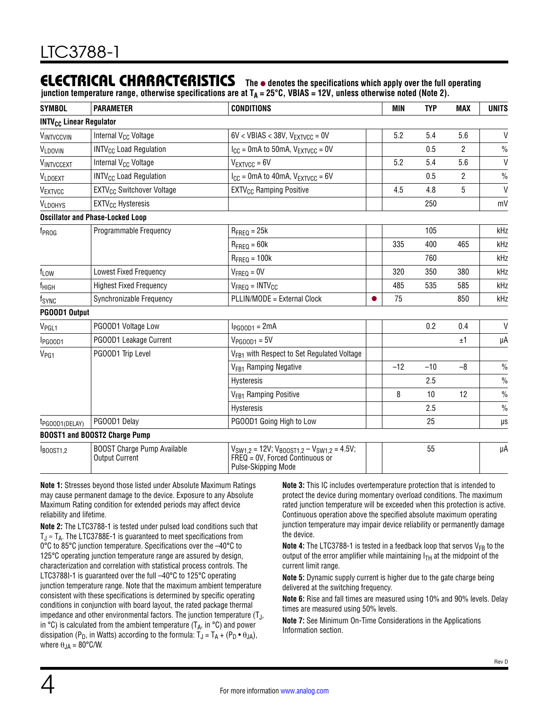### **ELECTRICAL CHARACTERISTICS** The  $\bullet$  denotes the specifications which apply over the full operating

**junction temperature range, otherwise specifications are at TA = 25°C, VBIAS = 12V, unless otherwise noted (Note 2).**

| <b>SYMBOL</b>                             | <b>PARAMETER</b>                                            | <b>CONDITIONS</b>                                                                             | MIN   | <b>TYP</b> | <b>MAX</b>     | <b>UNITS</b>  |
|-------------------------------------------|-------------------------------------------------------------|-----------------------------------------------------------------------------------------------|-------|------------|----------------|---------------|
| <b>INTV<sub>CC</sub> Linear Regulator</b> |                                                             |                                                                                               |       |            |                |               |
| VINTVCCVIN                                | Internal V <sub>CC</sub> Voltage                            | $6V <$ VBIAS < 38V, $V_{\text{EXTVCC}} = 0V$                                                  | 5.2   | 5.4        | 5.6            | $\mathsf{V}$  |
| VLDOVIN                                   | <b>INTV<sub>CC</sub></b> Load Regulation                    | $I_{CC}$ = 0mA to 50mA, $V_{EXTVCC}$ = 0V                                                     |       | 0.5        | 2              | $\frac{0}{0}$ |
| VINTVCCEXT                                | Internal V <sub>CC</sub> Voltage                            | $V_{EXTVCC} = 6V$                                                                             | 5.2   | 5.4        | 5.6            | $\mathsf{V}$  |
| VLDOEXT                                   | <b>INTV<sub>CC</sub></b> Load Regulation                    | $I_{CC}$ = 0mA to 40mA, $V_{EXTVCC}$ = 6V                                                     |       | 0.5        | $\overline{c}$ | $\frac{0}{0}$ |
| VEXTVCC                                   | EXTV <sub>CC</sub> Switchover Voltage                       | <b>EXTV<sub>CC</sub></b> Ramping Positive                                                     | 4.5   | 4.8        | 5              | $\mathsf{V}$  |
| <b>VLDOHYS</b>                            | EXTV <sub>CC</sub> Hysteresis                               |                                                                                               |       | 250        |                | mV            |
|                                           | <b>Oscillator and Phase-Locked Loop</b>                     |                                                                                               |       |            |                |               |
| f <sub>PROG</sub>                         | Programmable Frequency                                      | $R_{\text{FREO}} = 25k$                                                                       |       | 105        |                | kHz           |
|                                           |                                                             | $R_{\text{FREQ}} = 60k$                                                                       | 335   | 400        | 465            | kHz           |
|                                           |                                                             | $R_{\text{FREQ}} = 100k$                                                                      |       | 760        |                | kHz           |
| $f_{LOW}$                                 | <b>Lowest Fixed Frequency</b>                               | $V_{\text{FREQ}} = 0V$                                                                        | 320   | 350        | 380            | kHz           |
| f <sub>HIGH</sub>                         | <b>Highest Fixed Frequency</b>                              | $V_{\text{FREQ}} = \text{INTV}_{\text{CC}}$                                                   | 485   | 535        | 585            | kHz           |
| fsync                                     | Synchronizable Frequency                                    | PLLIN/MODE = External Clock                                                                   | 75    |            | 850            | kHz           |
| PG00D1 Output                             |                                                             |                                                                                               |       |            |                |               |
| V <sub>PGL1</sub>                         | PGOOD1 Voltage Low                                          | $I_{PGOOD1} = 2mA$                                                                            |       | 0.2        | 0.4            | $\mathsf{V}$  |
| l <sub>PGOOD1</sub>                       | PGOOD1 Leakage Current                                      | $V_{PGOOD1} = 5V$                                                                             |       |            | ±1             | μA            |
| V <sub>PG1</sub>                          | PGOOD1 Trip Level                                           | V <sub>FB1</sub> with Respect to Set Regulated Voltage                                        |       |            |                |               |
|                                           |                                                             | V <sub>FB1</sub> Ramping Negative                                                             | $-12$ | $-10$      | $-8$           | $\frac{0}{0}$ |
|                                           |                                                             | Hysteresis                                                                                    |       | 2.5        |                | $\frac{0}{0}$ |
|                                           |                                                             | V <sub>FB1</sub> Ramping Positive                                                             | 8     | 10         | 12             | $\frac{0}{0}$ |
|                                           |                                                             | Hysteresis                                                                                    |       | 2.5        |                | $\frac{0}{0}$ |
| t <sub>PGOOD1</sub> (DELAY)               | PGOOD1 Delay                                                | PGOOD1 Going High to Low                                                                      |       | 25         |                | μs            |
|                                           | <b>BOOST1 and BOOST2 Charge Pump</b>                        |                                                                                               |       |            |                |               |
| BOOST1,2                                  | <b>BOOST Charge Pump Available</b><br><b>Output Current</b> | $V_{SW1,2} = 12V$ ; $V_{BOOST1,2} - V_{SW1,2} = 4.5V$ ;<br>$FREQ = OV$ , Forced Continuous or |       | 55         |                | μA            |

Pulse-Skipping Mode

**Note 1:** Stresses beyond those listed under Absolute Maximum Ratings may cause permanent damage to the device. Exposure to any Absolute Maximum Rating condition for extended periods may affect device reliability and lifetime.

**Note 2:** The LTC3788-1 is tested under pulsed load conditions such that  $T_J \approx T_A$ . The LTC3788E-1 is guaranteed to meet specifications from 0°C to 85°C junction temperature. Specifications over the –40°C to 125°C operating junction temperature range are assured by design, characterization and correlation with statistical process controls. The LTC3788I-1 is guaranteed over the full –40°C to 125°C operating junction temperature range. Note that the maximum ambient temperature consistent with these specifications is determined by specific operating conditions in conjunction with board layout, the rated package thermal impedance and other environmental factors. The junction temperature  $(T_J,$ in  $\degree$ C) is calculated from the ambient temperature (T<sub>A</sub>, in  $\degree$ C) and power dissipation (P<sub>D</sub>, in Watts) according to the formula:  $T_J = T_A + (P_D \cdot \theta_{JA})$ , where  $\theta_{JA} = 80^{\circ}$ C/W.

**Note 3:** This IC includes overtemperature protection that is intended to protect the device during momentary overload conditions. The maximum rated junction temperature will be exceeded when this protection is active. Continuous operation above the specified absolute maximum operating junction temperature may impair device reliability or permanently damage the device.

**Note 4:** The LTC3788-1 is tested in a feedback loop that servos  $V_{FR}$  to the output of the error amplifier while maintaining  $I_{TH}$  at the midpoint of the current limit range.

**Note 5:** Dynamic supply current is higher due to the gate charge being delivered at the switching frequency.

**Note 6:** Rise and fall times are measured using 10% and 90% levels. Delay times are measured using 50% levels.

**Note 7:** See [Minimum On-Time Considerations](#page-20-0) in the Applications Information section.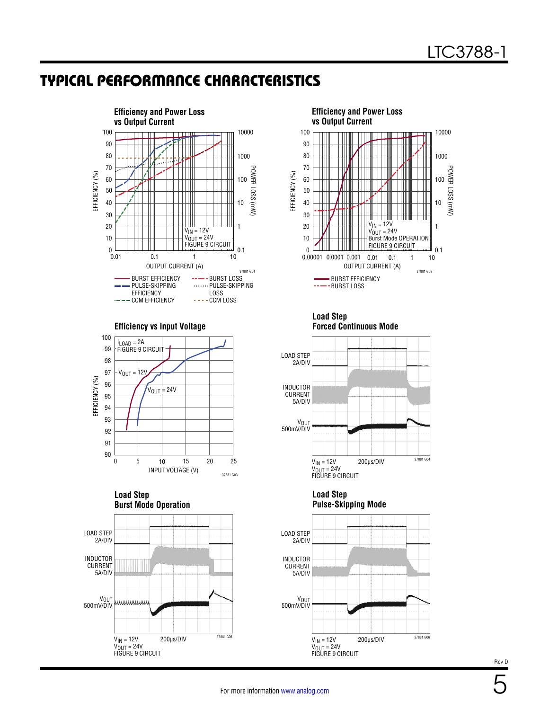### <span id="page-4-0"></span>TYPICAL PERFORMANCE CHARACTERISTICS













**Load Step Forced Continuous Mode**







5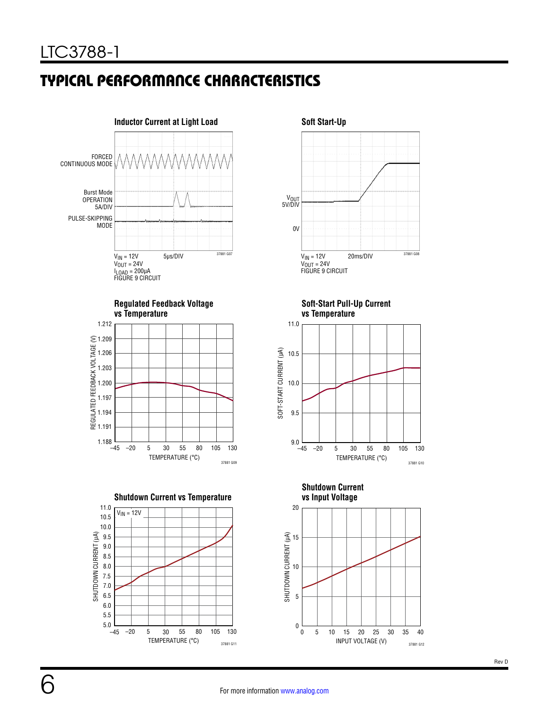# TYPICAL PERFORMANCE CHARACTERISTICS













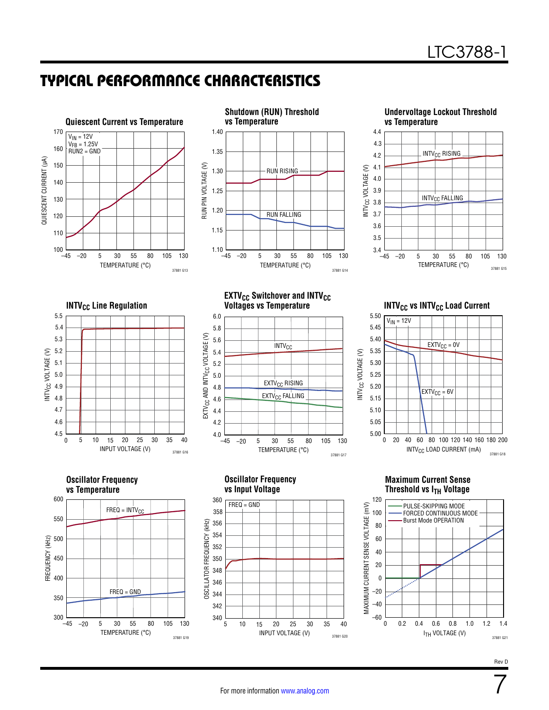7

### TYPICAL PERFORMANCE CHARACTERISTICS

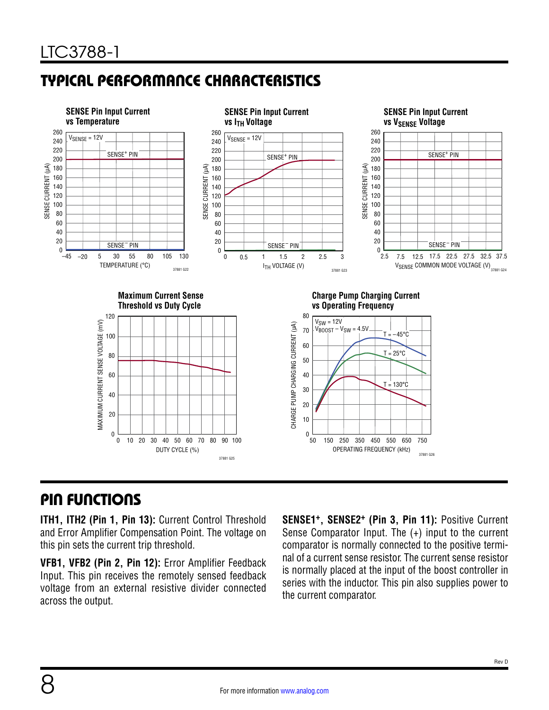# <span id="page-7-0"></span>TYPICAL PERFORMANCE CHARACTERISTICS



### <span id="page-7-1"></span>PIN FUNCTIONS

**ITH1, ITH2 (Pin 1, Pin 13):** Current Control Threshold and Error Amplifier Compensation Point. The voltage on this pin sets the current trip threshold.

**VFB1, VFB2 (Pin 2, Pin 12):** Error Amplifier Feedback Input. This pin receives the remotely sensed feedback voltage from an external resistive divider connected across the output.

**SENSE1+, SENSE2+ (Pin 3, Pin 11):** Positive Current Sense Comparator Input. The (+) input to the current comparator is normally connected to the positive terminal of a current sense resistor. The current sense resistor is normally placed at the input of the boost controller in series with the inductor. This pin also supplies power to the current comparator.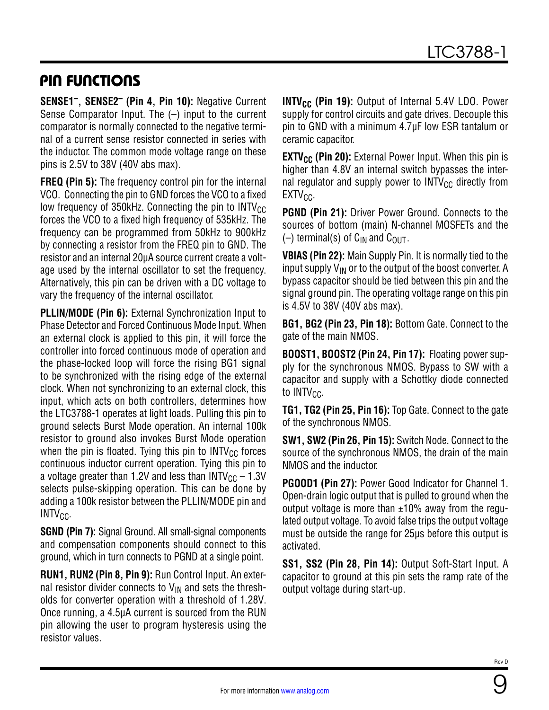### PIN FUNCTIONS

**SENSE1–, SENSE2– (Pin 4, Pin 10):** Negative Current Sense Comparator Input. The (–) input to the current comparator is normally connected to the negative terminal of a current sense resistor connected in series with the inductor. The common mode voltage range on these pins is 2.5V to 38V (40V abs max).

**FREQ (Pin 5):** The frequency control pin for the internal VCO. Connecting the pin to GND forces the VCO to a fixed low frequency of 350kHz. Connecting the pin to  $INTV_{CC}$ forces the VCO to a fixed high frequency of 535kHz. The frequency can be programmed from 50kHz to 900kHz by connecting a resistor from the FREQ pin to GND. The resistor and an internal 20µA source current create a voltage used by the internal oscillator to set the frequency. Alternatively, this pin can be driven with a DC voltage to vary the frequency of the internal oscillator.

**PLLIN/MODE (Pin 6):** External Synchronization Input to Phase Detector and Forced Continuous Mode Input. When an external clock is applied to this pin, it will force the controller into forced continuous mode of operation and the phase-locked loop will force the rising BG1 signal to be synchronized with the rising edge of the external clock. When not synchronizing to an external clock, this input, which acts on both controllers, determines how the LTC3788-1 operates at light loads. Pulling this pin to ground selects Burst Mode operation. An internal 100k resistor to ground also invokes Burst Mode operation when the pin is floated. Tying this pin to  $INTV_{CC}$  forces continuous inductor current operation. Tying this pin to a voltage greater than 1.2V and less than  $INTV_{CC} - 1.3V$ selects pulse-skipping operation. This can be done by adding a 100k resistor between the PLLIN/MODE pin and  $INTV_{CC}$ .

**SGND (Pin 7):** Signal Ground. All small-signal components and compensation components should connect to this ground, which in turn connects to PGND at a single point.

**RUN1, RUN2 (Pin 8, Pin 9):** Run Control Input. An external resistor divider connects to  $V_{IN}$  and sets the thresholds for converter operation with a threshold of 1.28V. Once running, a 4.5µA current is sourced from the RUN pin allowing the user to program hysteresis using the resistor values.

**INTV<sub>CC</sub>** (Pin 19): Output of Internal 5.4V LDO. Power supply for control circuits and gate drives. Decouple this pin to GND with a minimum 4.7µF low ESR tantalum or ceramic capacitor.

**EXTV<sub>CC</sub>** (Pin 20): External Power Input. When this pin is higher than 4.8V an internal switch bypasses the internal regulator and supply power to  $INTV_{CC}$  directly from  $EXTV_{CC}$ .

**PGND (Pin 21):** Driver Power Ground. Connects to the sources of bottom (main) N-channel MOSFETs and the  $(-)$  terminal(s) of C<sub>IN</sub> and C<sub>OUT</sub>.

**VBIAS (Pin 22):** Main Supply Pin. It is normally tied to the input supply  $V_{IN}$  or to the output of the boost converter. A bypass capacitor should be tied between this pin and the signal ground pin. The operating voltage range on this pin is 4.5V to 38V (40V abs max).

**BG1, BG2 (Pin 23, Pin 18):** Bottom Gate. Connect to the gate of the main NMOS.

**BOOST1, BOOST2 (Pin 24, Pin 17):** Floating power supply for the synchronous NMOS. Bypass to SW with a capacitor and supply with a Schottky diode connected to  $INTV_{CC}$ .

**TG1, TG2 (Pin 25, Pin 16):** Top Gate. Connect to the gate of the synchronous NMOS.

**SW1, SW2 (Pin 26, Pin 15):** Switch Node. Connect to the source of the synchronous NMOS, the drain of the main NMOS and the inductor.

**PGOOD1 (Pin 27):** Power Good Indicator for Channel 1. Open-drain logic output that is pulled to ground when the output voltage is more than  $\pm 10\%$  away from the regulated output voltage. To avoid false trips the output voltage must be outside the range for 25µs before this output is activated.

**SS1, SS2 (Pin 28, Pin 14):** Output Soft-Start Input. A capacitor to ground at this pin sets the ramp rate of the output voltage during start-up.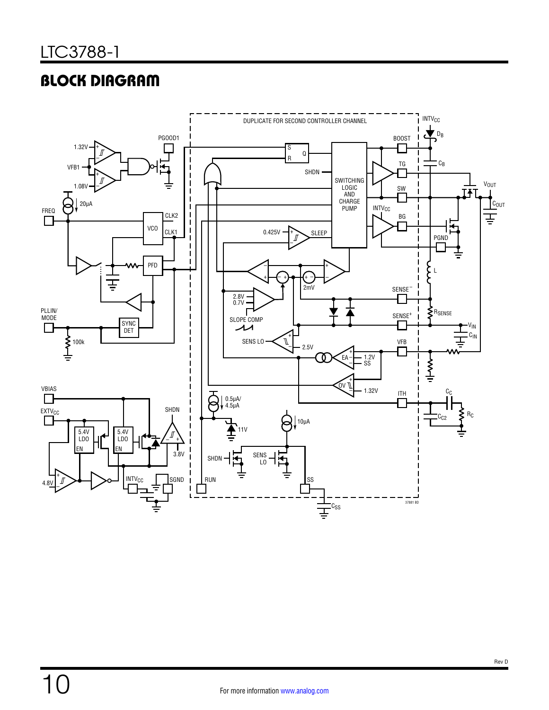# BLOCK DIAGRAM

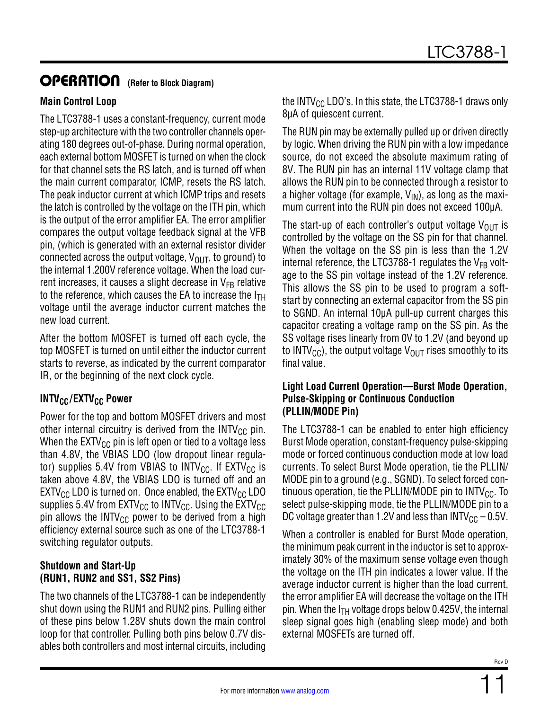### OPERATION **(Refer to Block Diagram)**

#### **Main Control Loop**

The LTC3788-1 uses a constant-frequency, current mode step-up architecture with the two controller channels operating 180 degrees out-of-phase. During normal operation, each external bottom MOSFET is turned on when the clock for that channel sets the RS latch, and is turned off when the main current comparator, ICMP, resets the RS latch. The peak inductor current at which ICMP trips and resets the latch is controlled by the voltage on the ITH pin, which is the output of the error amplifier EA. The error amplifier compares the output voltage feedback signal at the VFB pin, (which is generated with an external resistor divider connected across the output voltage,  $V_{OIIT}$ , to ground) to the internal 1.200V reference voltage. When the load current increases, it causes a slight decrease in  $V_{FB}$  relative to the reference, which causes the EA to increase the  $I_{TH}$ voltage until the average inductor current matches the new load current.

After the bottom MOSFET is turned off each cycle, the top MOSFET is turned on until either the inductor current starts to reverse, as indicated by the current comparator IR, or the beginning of the next clock cycle.

### **INTV<sub>CC</sub>/EXTV<sub>CC</sub> Power**

Power for the top and bottom MOSFET drivers and most other internal circuitry is derived from the  $INTV_{CC}$  pin. When the  $EXTV_{CC}$  pin is left open or tied to a voltage less than 4.8V, the VBIAS LDO (low dropout linear regulator) supplies 5.4V from VBIAS to INTV<sub>CC</sub>. If  $EXTV_{CC}$  is taken above 4.8V, the VBIAS LDO is turned off and an  $EXTV_{CC}$  LDO is turned on. Once enabled, the EXTV $_{CC}$  LDO supplies 5.4V from  $EXTV_{CC}$  to INTV<sub>CC</sub>. Using the  $EXTV_{CC}$ pin allows the INTV<sub>CC</sub> power to be derived from a high efficiency external source such as one of the LTC3788-1 switching regulator outputs.

#### **Shutdown and Start-Up (RUN1, RUN2 and SS1, SS2 Pins)**

The two channels of the LTC3788-1 can be independently shut down using the RUN1 and RUN2 pins. Pulling either of these pins below 1.28V shuts down the main control loop for that controller. Pulling both pins below 0.7V disables both controllers and most internal circuits, including the INTV $_{\rm CC}$  LDO's. In this state, the LTC3788-1 draws only 8µA of quiescent current.

The RUN pin may be externally pulled up or driven directly by logic. When driving the RUN pin with a low impedance source, do not exceed the absolute maximum rating of 8V. The RUN pin has an internal 11V voltage clamp that allows the RUN pin to be connected through a resistor to a higher voltage (for example,  $V_{\text{IN}}$ ), as long as the maximum current into the RUN pin does not exceed 100µA.

The start-up of each controller's output voltage  $V_{\text{OUT}}$  is controlled by the voltage on the SS pin for that channel. When the voltage on the SS pin is less than the 1.2V internal reference, the LTC3788-1 regulates the  $V_{FB}$  voltage to the SS pin voltage instead of the 1.2V reference. This allows the SS pin to be used to program a softstart by connecting an external capacitor from the SS pin to SGND. An internal 10µA pull-up current charges this capacitor creating a voltage ramp on the SS pin. As the SS voltage rises linearly from 0V to 1.2V (and beyond up to INTV<sub>CC</sub>), the output voltage V<sub>OUT</sub> rises smoothly to its final value.

#### **Light Load Current Operation—Burst Mode Operation, Pulse-Skipping or Continuous Conduction (PLLIN/MODE Pin)**

The LTC3788-1 can be enabled to enter high efficiency Burst Mode operation, constant-frequency pulse-skipping mode or forced continuous conduction mode at low load currents. To select Burst Mode operation, tie the PLLIN/ MODE pin to a ground (e.g., SGND). To select forced continuous operation, tie the PLLIN/MODE pin to  $INTV_{CC}$ . To select pulse-skipping mode, tie the PLLIN/MODE pin to a DC voltage greater than 1.2V and less than  $INTV_{CC} - 0.5V$ .

When a controller is enabled for Burst Mode operation, the minimum peak current in the inductor is set to approximately 30% of the maximum sense voltage even though the voltage on the ITH pin indicates a lower value. If the average inductor current is higher than the load current, the error amplifier EA will decrease the voltage on the ITH pin. When the  $I<sub>TH</sub>$  voltage drops below 0.425V, the internal sleep signal goes high (enabling sleep mode) and both external MOSFETs are turned off.

11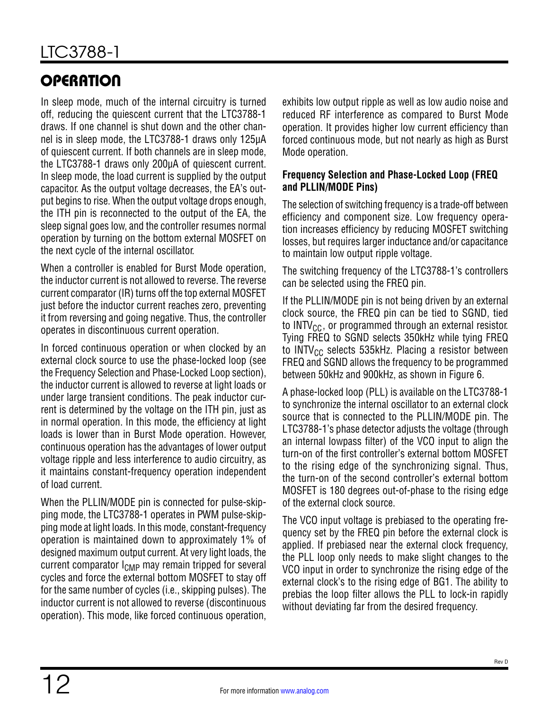# **OPERATION**

In sleep mode, much of the internal circuitry is turned off, reducing the quiescent current that the LTC3788-1 draws. If one channel is shut down and the other channel is in sleep mode, the LTC3788-1 draws only 125µA of quiescent current. If both channels are in sleep mode, the LTC3788-1 draws only 200µA of quiescent current. In sleep mode, the load current is supplied by the output capacitor. As the output voltage decreases, the EA's output begins to rise. When the output voltage drops enough, the ITH pin is reconnected to the output of the EA, the sleep signal goes low, and the controller resumes normal operation by turning on the bottom external MOSFET on the next cycle of the internal oscillator.

When a controller is enabled for Burst Mode operation, the inductor current is not allowed to reverse. The reverse current comparator (IR) turns off the top external MOSFET just before the inductor current reaches zero, preventing it from reversing and going negative. Thus, the controller operates in discontinuous current operation.

In forced continuous operation or when clocked by an external clock source to use the phase-locked loop (see the [Frequency Selection and Phase-Locked Loop](#page-11-0) section), the inductor current is allowed to reverse at light loads or under large transient conditions. The peak inductor current is determined by the voltage on the ITH pin, just as in normal operation. In this mode, the efficiency at light loads is lower than in Burst Mode operation. However, continuous operation has the advantages of lower output voltage ripple and less interference to audio circuitry, as it maintains constant-frequency operation independent of load current.

When the PLLIN/MODE pin is connected for pulse-skipping mode, the LTC3788-1 operates in PWM pulse-skipping mode at light loads. In this mode, constant-frequency operation is maintained down to approximately 1% of designed maximum output current. At very light loads, the current comparator  $I_{\text{CMP}}$  may remain tripped for several cycles and force the external bottom MOSFET to stay off for the same number of cycles (i.e., skipping pulses). The inductor current is not allowed to reverse (discontinuous operation). This mode, like forced continuous operation,

exhibits low output ripple as well as low audio noise and reduced RF interference as compared to Burst Mode operation. It provides higher low current efficiency than forced continuous mode, but not nearly as high as Burst Mode operation.

#### <span id="page-11-0"></span>**Frequency Selection and Phase-Locked Loop (FREQ and PLLIN/MODE Pins)**

The selection of switching frequency is a trade-off between efficiency and component size. Low frequency operation increases efficiency by reducing MOSFET switching losses, but requires larger inductance and/or capacitance to maintain low output ripple voltage.

The switching frequency of the LTC3788-1's controllers can be selected using the FREQ pin.

If the PLLIN/MODE pin is not being driven by an external clock source, the FREQ pin can be tied to SGND, tied to  $INTV_{CC}$ , or programmed through an external resistor. Tying FREQ to SGND selects 350kHz while tying FREQ to INTV $_{\text{CC}}$  selects 535kHz. Placing a resistor between FREQ and SGND allows the frequency to be programmed between 50kHz and 900kHz, as shown in [Figure 6.](#page-19-0)

A phase-locked loop (PLL) is available on the LTC3788-1 to synchronize the internal oscillator to an external clock source that is connected to the PLLIN/MODE pin. The LTC3788-1's phase detector adjusts the voltage (through an internal lowpass filter) of the VCO input to align the turn-on of the first controller's external bottom MOSFET to the rising edge of the synchronizing signal. Thus, the turn-on of the second controller's external bottom MOSFET is 180 degrees out-of-phase to the rising edge of the external clock source.

The VCO input voltage is prebiased to the operating frequency set by the FREQ pin before the external clock is applied. If prebiased near the external clock frequency, the PLL loop only needs to make slight changes to the VCO input in order to synchronize the rising edge of the external clock's to the rising edge of BG1. The ability to prebias the loop filter allows the PLL to lock-in rapidly without deviating far from the desired frequency.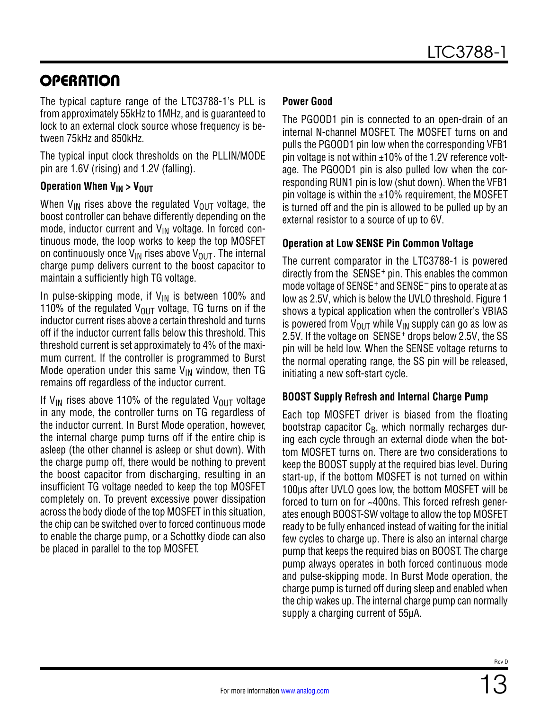# **OPERATION**

The typical capture range of the LTC3788-1's PLL is from approximately 55kHz to 1MHz, and is guaranteed to lock to an external clock source whose frequency is between 75kHz and 850kHz.

The typical input clock thresholds on the PLLIN/MODE pin are 1.6V (rising) and 1.2V (falling).

#### **Operation When V<sub>IN</sub> > V<sub>OUT</sub>**

When  $V_{IN}$  rises above the regulated  $V_{OUT}$  voltage, the boost controller can behave differently depending on the mode, inductor current and  $V_{\text{IN}}$  voltage. In forced continuous mode, the loop works to keep the top MOSFET on continuously once  $V_{IN}$  rises above  $V_{OUIT}$ . The internal charge pump delivers current to the boost capacitor to maintain a sufficiently high TG voltage.

In pulse-skipping mode, if  $V_{IN}$  is between 100% and 110% of the regulated  $V_{\text{OUT}}$  voltage, TG turns on if the inductor current rises above a certain threshold and turns off if the inductor current falls below this threshold. This threshold current is set approximately to 4% of the maximum current. If the controller is programmed to Burst Mode operation under this same  $V_{IN}$  window, then TG remains off regardless of the inductor current.

If V<sub>IN</sub> rises above 110% of the regulated V<sub>OUT</sub> voltage in any mode, the controller turns on TG regardless of the inductor current. In Burst Mode operation, however, the internal charge pump turns off if the entire chip is asleep (the other channel is asleep or shut down). With the charge pump off, there would be nothing to prevent the boost capacitor from discharging, resulting in an insufficient TG voltage needed to keep the top MOSFET completely on. To prevent excessive power dissipation across the body diode of the top MOSFET in this situation, the chip can be switched over to forced continuous mode to enable the charge pump, or a Schottky diode can also be placed in parallel to the top MOSFET.

#### **Power Good**

The PGOOD1 pin is connected to an open-drain of an internal N-channel MOSFET. The MOSFET turns on and pulls the PGOOD1 pin low when the corresponding VFB1 pin voltage is not within ±10% of the 1.2V reference voltage. The PGOOD1 pin is also pulled low when the corresponding RUN1 pin is low (shut down). When the VFB1 pin voltage is within the  $\pm 10\%$  requirement, the MOSFET is turned off and the pin is allowed to be pulled up by an external resistor to a source of up to 6V.

#### **Operation at Low SENSE Pin Common Voltage**

The current comparator in the LTC3788-1 is powered directly from the SENSE<sup>+</sup> pin. This enables the common mode voltage of SENSE<sup>+</sup> and SENSE<sup>-</sup> pins to operate at as low as 2.5V, which is below the UVLO threshold. [Figure 1](#page-13-0)  shows a typical application when the controller's VBIAS is powered from  $V_{\text{OUT}}$  while  $V_{\text{IN}}$  supply can go as low as 2.5V. If the voltage on SENSE+ drops below 2.5V, the SS pin will be held low. When the SENSE voltage returns to the normal operating range, the SS pin will be released, initiating a new soft-start cycle.

#### **BOOST Supply Refresh and Internal Charge Pump**

Each top MOSFET driver is biased from the floating bootstrap capacitor  $C_B$ , which normally recharges during each cycle through an external diode when the bottom MOSFET turns on. There are two considerations to keep the BOOST supply at the required bias level. During start-up, if the bottom MOSFET is not turned on within 100µs after UVLO goes low, the bottom MOSFET will be forced to turn on for ~400ns. This forced refresh generates enough BOOST-SW voltage to allow the top MOSFET ready to be fully enhanced instead of waiting for the initial few cycles to charge up. There is also an internal charge pump that keeps the required bias on BOOST. The charge pump always operates in both forced continuous mode and pulse-skipping mode. In Burst Mode operation, the charge pump is turned off during sleep and enabled when the chip wakes up. The internal charge pump can normally supply a charging current of 55µA.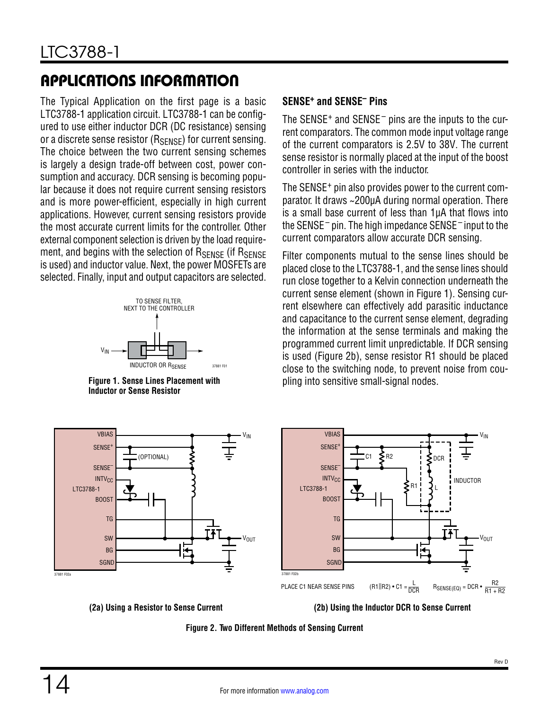<span id="page-13-2"></span>The Typical Application on the first page is a basic LTC3788-1 application circuit. LTC3788-1 can be configured to use either inductor DCR (DC resistance) sensing or a discrete sense resistor  $(R_{SENSF})$  for current sensing. The choice between the two current sensing schemes is largely a design trade-off between cost, power consumption and accuracy. DCR sensing is becoming popular because it does not require current sensing resistors and is more power-efficient, especially in high current applications. However, current sensing resistors provide the most accurate current limits for the controller. Other external component selection is driven by the load requirement, and begins with the selection of R<sub>SENSE</sub> (if R<sub>SENSE</sub> is used) and inductor value. Next, the power MOSFETs are selected. Finally, input and output capacitors are selected.



<span id="page-13-0"></span>**Figure 1. Sense Lines Placement with** pling into sensitive small-signal nodes. **Inductor or Sense Resistor**

#### **SENSE+ and SENSE– Pins**

The SENSE<sup>+</sup> and SENSE<sup> $-$ </sup> pins are the inputs to the current comparators. The common mode input voltage range of the current comparators is 2.5V to 38V. The current sense resistor is normally placed at the input of the boost controller in series with the inductor.

The SENSE+ pin also provides power to the current comparator. It draws ~200µA during normal operation. There is a small base current of less than 1µA that flows into the SENSE– pin. The high impedance SENSE– input to the current comparators allow accurate DCR sensing.

Filter components mutual to the sense lines should be placed close to the LTC3788-1, and the sense lines should run close together to a Kelvin connection underneath the current sense element (shown in [Figure 1](#page-13-0)). Sensing current elsewhere can effectively add parasitic inductance and capacitance to the current sense element, degrading the information at the sense terminals and making the programmed current limit unpredictable. If DCR sensing is used ([Figure 2b](#page-13-1)), sense resistor R1 should be placed close to the switching node, to prevent noise from cou-



**(2a) Using a Resistor to Sense Current (2b) Using the Inductor DCR to Sense Current**

<span id="page-13-1"></span>**Figure 2. Two Different Methods of Sensing Current**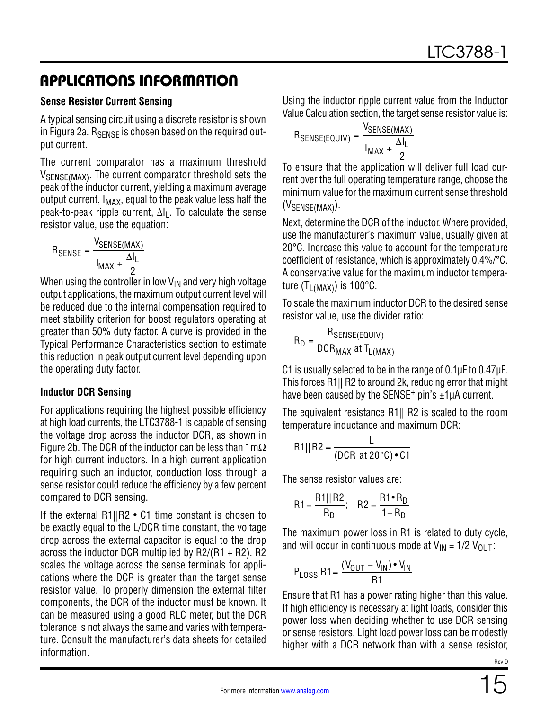#### **Sense Resistor Current Sensing**

A typical sensing circuit using a discrete resistor is shown in [Figure 2](#page-13-1)a. R<sub>SENSE</sub> is chosen based on the required output current.

The current comparator has a maximum threshold V<sub>SENSE(MAX)</sub>. The current comparator threshold sets the peak of the inductor current, yielding a maximum average output current,  $I_{MAX}$ , equal to the peak value less half the peak-to-peak ripple current,  $\Delta I_L$ . To calculate the sense resistor value, use the equation:

$$
R_{\text{SENSE}} = \frac{V_{\text{SENSE}(\text{MAX})}}{I_{\text{MAX}} + \frac{\Delta I_L}{2}}
$$

When using the controller in low  $V_{IN}$  and very high voltage output applications, the maximum output current level will be reduced due to the internal compensation required to meet stability criterion for boost regulators operating at greater than 50% duty factor. A curve is provided in the [Typical Performance Characteristics](#page-7-0) section to estimate this reduction in peak output current level depending upon the operating duty factor.

#### **Inductor DCR Sensing**

For applications requiring the highest possible efficiency at high load currents, the LTC3788-1 is capable of sensing the voltage drop across the inductor DCR, as shown in [Figure 2b](#page-13-1). The DCR of the inductor can be less than  $1 \text{m}\Omega$ for high current inductors. In a high current application requiring such an inductor, conduction loss through a sense resistor could reduce the efficiency by a few percent compared to DCR sensing.

If the external R1||R2 • C1 time constant is chosen to be exactly equal to the L/DCR time constant, the voltage drop across the external capacitor is equal to the drop across the inductor DCR multiplied by  $R2/(R1 + R2)$ . R2 scales the voltage across the sense terminals for applications where the DCR is greater than the target sense resistor value. To properly dimension the external filter components, the DCR of the inductor must be known. It can be measured using a good RLC meter, but the DCR tolerance is not always the same and varies with temperature. Consult the manufacturer's data sheets for detailed information.

Using the inductor ripple current value from the [Inductor](#page-15-0)  [Value Calculation](#page-15-0) section, the target sense resistor value is:

$$
R_{\text{SENSE}(EQUIV)} = \frac{V_{\text{SENSE}(MAX)}}{I_{\text{MAX}} + \frac{\Delta I_L}{2}}
$$

To ensure that the application will deliver full load current over the full operating temperature range, choose the minimum value for the maximum current sense threshold  $(V_{\text{SENSE}(\text{MAX})})$ .

Next, determine the DCR of the inductor. Where provided, use the manufacturer's maximum value, usually given at 20°C. Increase this value to account for the temperature coefficient of resistance, which is approximately 0.4%/°C. A conservative value for the maximum inductor temperature  $(T_{L(MAX)})$  is 100°C.

To scale the maximum inductor DCR to the desired sense resistor value, use the divider ratio:

$$
R_D = \frac{R_{\text{SENSE(EQUIV)}}}{DCR_{\text{MAX}}} \text{ at } T_{L(\text{MAX})}
$$

C1 is usually selected to be in the range of 0.1µF to 0.47µF. This forces R1|| R2 to around 2k, reducing error that might have been caused by the SENSE<sup>+</sup> pin's  $\pm 1 \mu A$  current.

The equivalent resistance R1|| R2 is scaled to the room temperature inductance and maximum DCR:

$$
R1||R2 = \frac{L}{(DCR at 20^{\circ}C) \cdot C1}
$$

The sense resistor values are:

$$
R1 = \frac{R1||R2}{R_D}; \quad R2 = \frac{R1 \cdot R_D}{1 - R_D}
$$

The maximum power loss in R1 is related to duty cycle, and will occur in continuous mode at  $V_{IN} = 1/2 V_{OUT}$ :

$$
P_{LOSS} R1 = \frac{(V_{OUT} - V_{IN}) \cdot V_{IN}}{R1}
$$

Ensure that R1 has a power rating higher than this value. If high efficiency is necessary at light loads, consider this power loss when deciding whether to use DCR sensing or sense resistors. Light load power loss can be modestly higher with a DCR network than with a sense resistor,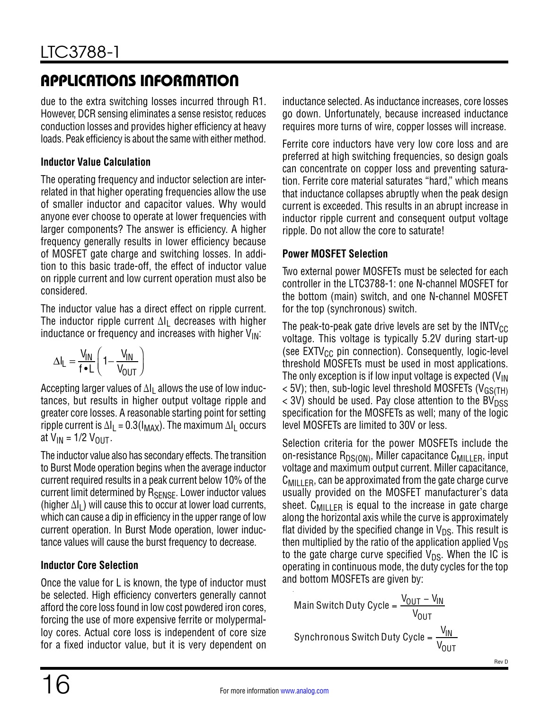due to the extra switching losses incurred through R1. However, DCR sensing eliminates a sense resistor, reduces conduction losses and provides higher efficiency at heavy loads. Peak efficiency is about the same with either method.

#### <span id="page-15-0"></span>**Inductor Value Calculation**

The operating frequency and inductor selection are interrelated in that higher operating frequencies allow the use of smaller inductor and capacitor values. Why would anyone ever choose to operate at lower frequencies with larger components? The answer is efficiency. A higher frequency generally results in lower efficiency because of MOSFET gate charge and switching losses. In addition to this basic trade-off, the effect of inductor value on ripple current and low current operation must also be considered.

The inductor value has a direct effect on ripple current. The inductor ripple current  $\Delta I_L$  decreases with higher inductance or frequency and increases with higher  $V_{\text{IN}}$ :

$$
\Delta I_{L} = \frac{V_{IN}}{f \cdot L} \left( 1 - \frac{V_{IN}}{V_{OUT}} \right)
$$

Accepting larger values of  $\Delta I_1$  allows the use of low inductances, but results in higher output voltage ripple and greater core losses. A reasonable starting point for setting ripple current is  $\Delta I_L = 0.3(I_{MAX})$ . The maximum  $\Delta I_L$  occurs at  $V_{IN}$  = 1/2  $V_{OUT}$ .

The inductor value also has secondary effects. The transition to Burst Mode operation begins when the average inductor current required results in a peak current below 10% of the current limit determined by R<sub>SENSE</sub>. Lower inductor values (higher  $\Delta I_L$ ) will cause this to occur at lower load currents, which can cause a dip in efficiency in the upper range of low current operation. In Burst Mode operation, lower inductance values will cause the burst frequency to decrease.

### **Inductor Core Selection**

Once the value for L is known, the type of inductor must be selected. High efficiency converters generally cannot afford the core loss found in low cost powdered iron cores, forcing the use of more expensive ferrite or molypermalloy cores. Actual core loss is independent of core size for a fixed inductor value, but it is very dependent on

inductance selected. As inductance increases, core losses go down. Unfortunately, because increased inductance requires more turns of wire, copper losses will increase.

Ferrite core inductors have very low core loss and are preferred at high switching frequencies, so design goals can concentrate on copper loss and preventing saturation. Ferrite core material saturates "hard," which means that inductance collapses abruptly when the peak design current is exceeded. This results in an abrupt increase in inductor ripple current and consequent output voltage ripple. Do not allow the core to saturate!

#### **Power MOSFET Selection**

Two external power MOSFETs must be selected for each controller in the LTC3788-1: one N-channel MOSFET for the bottom (main) switch, and one N-channel MOSFET for the top (synchronous) switch.

The peak-to-peak gate drive levels are set by the  $INTV_{CC}$ voltage. This voltage is typically 5.2V during start-up (see  $EXTV_{CC}$  pin connection). Consequently, logic-level threshold MOSFETs must be used in most applications. The only exception is if low input voltage is expected  $(V_{\text{IN}})$  $<$  5V); then, sub-logic level threshold MOSFETs (V<sub>GS(TH)</sub>  $\langle$  3V) should be used. Pay close attention to the BV $_{\text{DSS}}$ specification for the MOSFETs as well; many of the logic level MOSFETs are limited to 30V or less.

Selection criteria for the power MOSFETs include the on-resistance  $R_{DS(ON)}$ , Miller capacitance  $C_{MII|IFR}$ , input voltage and maximum output current. Miller capacitance,  $C_{\text{MII} \perp \text{FR}}$ , can be approximated from the gate charge curve usually provided on the MOSFET manufacturer's data sheet.  $C_{MII}$  FR is equal to the increase in gate charge along the horizontal axis while the curve is approximately flat divided by the specified change in  $V_{DS}$ . This result is then multiplied by the ratio of the application applied  $V_{DS}$ to the gate charge curve specified  $V_{DS}$ . When the IC is operating in continuous mode, the duty cycles for the top and bottom MOSFETs are given by:

Main Switch Duty Cycle = 
$$
\frac{V_{OUT} - V_{IN}}{V_{OUT}}
$$
  
Synchronous Switch Duty Cycle = 
$$
\frac{V_{IN}}{V_{OUT}}
$$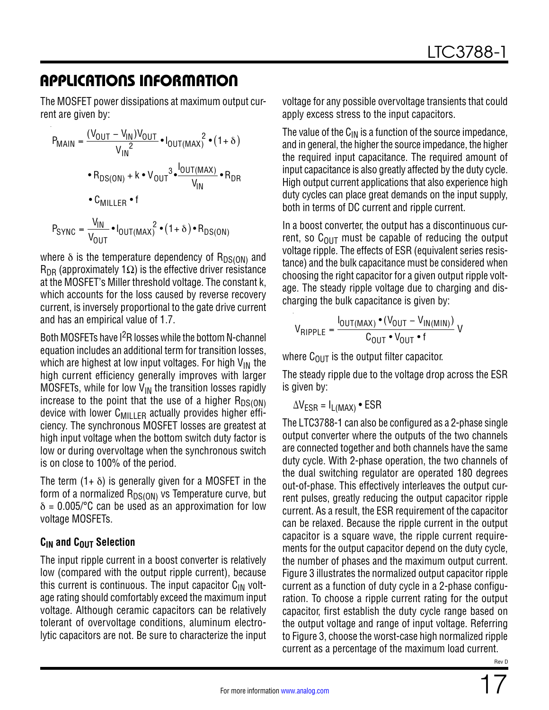The MOSFET power dissipations at maximum output current are given by:

$$
P_{MAIN} = \frac{(V_{OUT} - V_{IN})V_{OUT}}{V_{IN}^{2}} \cdot I_{OUT(MAX)}^{2} \cdot (1 + \delta)
$$
  
\n
$$
\cdot R_{DS(ON)} + k \cdot V_{OUT}^{3} \cdot \frac{I_{OUT(MAX)}^{2}}{V_{IN}} \cdot R_{DR}
$$
  
\n
$$
\cdot C_{MILLER} \cdot f
$$
  
\n
$$
P_{SYNC} = \frac{V_{IN}}{V_{OUT}} \cdot I_{OUT(MAX)}^{2} \cdot (1 + \delta) \cdot R_{DS(ON)}
$$

where  $\delta$  is the temperature dependency of  $R_{DS(ON)}$  and  $R_{\text{DR}}$  (approximately 1 $\Omega$ ) is the effective driver resistance at the MOSFET's Miller threshold voltage. The constant k, which accounts for the loss caused by reverse recovery current, is inversely proportional to the gate drive current and has an empirical value of 1.7.

Both MOSFETs have  $1^2R$  losses while the bottom N-channel equation includes an additional term for transition losses, which are highest at low input voltages. For high  $V_{IN}$  the high current efficiency generally improves with larger MOSFETs, while for low  $V_{IN}$  the transition losses rapidly increase to the point that the use of a higher  $R_{DS(ON)}$ device with lower  $C_{\text{MILLER}}$  actually provides higher efficiency. The synchronous MOSFET losses are greatest at high input voltage when the bottom switch duty factor is low or during overvoltage when the synchronous switch is on close to 100% of the period.

The term  $(1 + \delta)$  is generally given for a MOSFET in the form of a normalized  $R_{DS(ON)}$  vs Temperature curve, but  $\delta$  = 0.005/°C can be used as an approximation for low voltage MOSFETs.

#### **C<sub>IN</sub>** and C<sub>OUT</sub> Selection

The input ripple current in a boost converter is relatively low (compared with the output ripple current), because this current is continuous. The input capacitor  $C_{IN}$  voltage rating should comfortably exceed the maximum input voltage. Although ceramic capacitors can be relatively tolerant of overvoltage conditions, aluminum electrolytic capacitors are not. Be sure to characterize the input voltage for any possible overvoltage transients that could apply excess stress to the input capacitors.

The value of the  $C_{IN}$  is a function of the source impedance, and in general, the higher the source impedance, the higher the required input capacitance. The required amount of input capacitance is also greatly affected by the duty cycle. High output current applications that also experience high duty cycles can place great demands on the input supply, both in terms of DC current and ripple current.

In a boost converter, the output has a discontinuous current, so  $C<sub>OUT</sub>$  must be capable of reducing the output voltage ripple. The effects of ESR (equivalent series resistance) and the bulk capacitance must be considered when choosing the right capacitor for a given output ripple voltage. The steady ripple voltage due to charging and discharging the bulk capacitance is given by:

$$
V_{RIPPLE} = \frac{I_{OUT(MAX)} \cdot (V_{OUT} - V_{IN(MIN)})}{C_{OUT} \cdot V_{OUT} \cdot f}
$$

where  $C_{\text{OUT}}$  is the output filter capacitor.

The steady ripple due to the voltage drop across the ESR is given by:

 $\Delta V_{FSR} = I_{L(MAX)}$  • ESR

The LTC3788-1 can also be configured as a 2-phase single output converter where the outputs of the two channels are connected together and both channels have the same duty cycle. With 2-phase operation, the two channels of the dual switching regulator are operated 180 degrees out-of-phase. This effectively interleaves the output current pulses, greatly reducing the output capacitor ripple current. As a result, the ESR requirement of the capacitor can be relaxed. Because the ripple current in the output capacitor is a square wave, the ripple current requirements for the output capacitor depend on the duty cycle, the number of phases and the maximum output current. [Figure 3](#page-17-0) illustrates the normalized output capacitor ripple current as a function of duty cycle in a 2-phase configuration. To choose a ripple current rating for the output capacitor, first establish the duty cycle range based on the output voltage and range of input voltage. Referring to [Figure 3,](#page-17-0) choose the worst-case high normalized ripple current as a percentage of the maximum load current.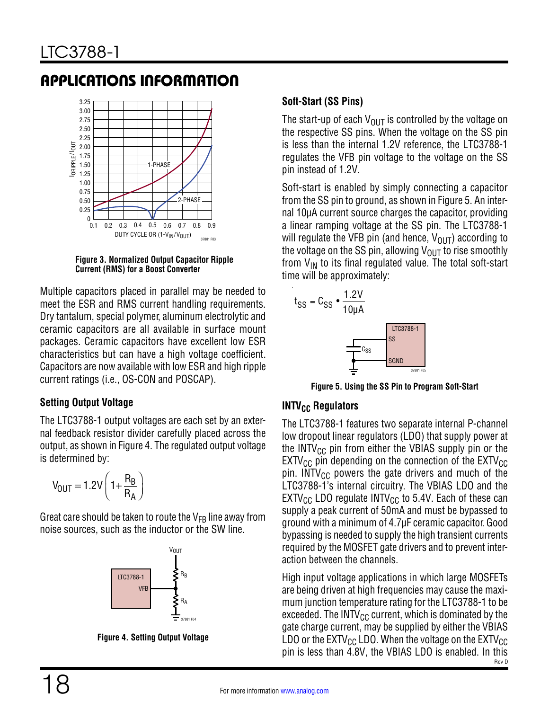

<span id="page-17-0"></span>**Figure 3. Normalized Output Capacitor Ripple Current (RMS) for a Boost Converter**

Multiple capacitors placed in parallel may be needed to meet the ESR and RMS current handling requirements. Dry tantalum, special polymer, aluminum electrolytic and ceramic capacitors are all available in surface mount packages. Ceramic capacitors have excellent low ESR characteristics but can have a high voltage coefficient. Capacitors are now available with low ESR and high ripple current ratings (i.e., OS-CON and POSCAP).

#### **Setting Output Voltage**

The LTC3788-1 output voltages are each set by an external feedback resistor divider carefully placed across the output, as shown in [Figure 4](#page-17-2). The regulated output voltage is determined by:

$$
V_{OUT} = 1.2V \left(1 + \frac{R_B}{R_A}\right)
$$

Great care should be taken to route the  $V_{FB}$  line away from noise sources, such as the inductor or the SW line.



**Figure 4. Setting Output Voltage**

#### **Soft-Start (SS Pins)**

The start-up of each  $V_{\text{OUT}}$  is controlled by the voltage on the respective SS pins. When the voltage on the SS pin is less than the internal 1.2V reference, the LTC3788-1 regulates the VFB pin voltage to the voltage on the SS pin instead of 1.2V.

Soft-start is enabled by simply connecting a capacitor from the SS pin to ground, as shown in [Figure 5](#page-17-1). An internal 10µA current source charges the capacitor, providing a linear ramping voltage at the SS pin. The LTC3788-1 will regulate the VFB pin (and hence,  $V_{\text{OUT}}$ ) according to the voltage on the SS pin, allowing  $V_{\text{OUT}}$  to rise smoothly from  $V_{IN}$  to its final regulated value. The total soft-start time will be approximately:



<span id="page-17-1"></span>**Figure 5. Using the SS Pin to Program Soft-Start**

#### **INTV<sub>CC</sub> Regulators**

The LTC3788-1 features two separate internal P-channel low dropout linear regulators (LDO) that supply power at the INTV $_{\text{CC}}$  pin from either the VBIAS supply pin or the  $EXTV_{CC}$  pin depending on the connection of the  $EXTV_{CC}$ pin. INTV<sub>CC</sub> powers the gate drivers and much of the LTC3788-1's internal circuitry. The VBIAS LDO and the  $EXTV_{CC}$  LDO regulate  $INTV_{CC}$  to 5.4V. Each of these can supply a peak current of 50mA and must be bypassed to ground with a minimum of 4.7µF ceramic capacitor. Good bypassing is needed to supply the high transient currents required by the MOSFET gate drivers and to prevent interaction between the channels.

<span id="page-17-2"></span>Rev D High input voltage applications in which large MOSFETs are being driven at high frequencies may cause the maximum junction temperature rating for the LTC3788-1 to be exceeded. The INTV $_{\text{CC}}$  current, which is dominated by the gate charge current, may be supplied by either the VBIAS LDO or the EXTV<sub>CC</sub> LDO. When the voltage on the EXTV<sub>CC</sub> pin is less than 4.8V, the VBIAS LDO is enabled. In this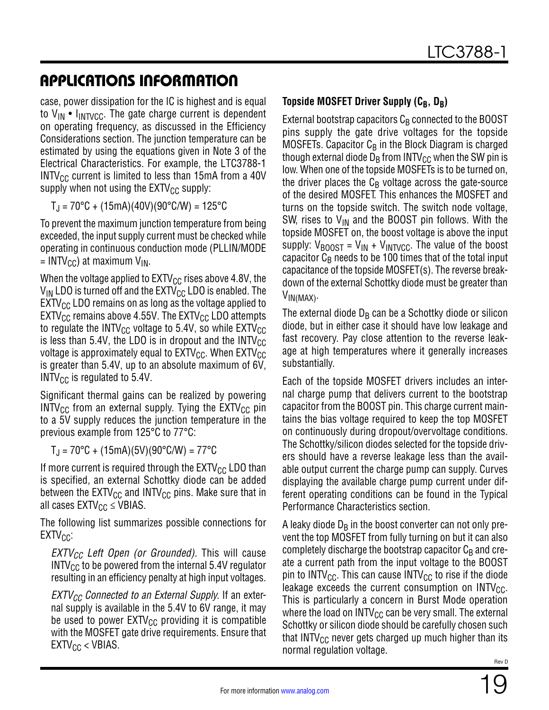case, power dissipation for the IC is highest and is equal to  $V_{IN}$  •  $I_{INTVCC}$ . The gate charge current is dependent on operating frequency, as discussed in the [Efficiency](#page-20-1)  [Considerations](#page-20-1) section. The junction temperature can be estimated by using the equations given in Note 3 of the Electrical Characteristics. For example, the LTC3788-1  $INTV_{CC}$  current is limited to less than 15mA from a 40V supply when not using the  $EXTV_{CC}$  supply:

 $T_{J}$  = 70°C + (15mA)(40V)(90°C/W) = 125°C

To prevent the maximum junction temperature from being exceeded, the input supply current must be checked while operating in continuous conduction mode (PLLIN/MODE  $=$  INTV<sub>CC</sub>) at maximum V<sub>IN</sub>.

When the voltage applied to  $EXTV_{CC}$  rises above 4.8V, the  $V_{IN}$  LDO is turned off and the EXTV<sub>CC</sub> LDO is enabled. The  $EXT_{CC}$  LDO remains on as long as the voltage applied to  $EXT_{CC}$  remains above 4.55V. The  $EXT_{CC}$  LDO attempts to regulate the INTV<sub>CC</sub> voltage to 5.4V, so while  $\mathsf{EXTV}_{\mathsf{CC}}$ is less than 5.4V, the LDO is in dropout and the  $INTV_{CC}$ voltage is approximately equal to  $\text{EXTV}_{\text{CC}}$ . When  $\text{EXTV}_{\text{CC}}$ is greater than 5.4V, up to an absolute maximum of 6V, INTV $_{\text{CC}}$  is regulated to 5.4V.

Significant thermal gains can be realized by powering  $INTV_{CC}$  from an external supply. Tying the  $EXTV_{CC}$  pin to a 5V supply reduces the junction temperature in the previous example from 125°C to 77°C:

 $T_{\rm J}$  = 70°C + (15mA)(5V)(90°C/W) = 77°C

If more current is required through the  $EXTV_{CC}$  LDO than is specified, an external Schottky diode can be added between the  $EXTV_{CC}$  and  $INTV_{CC}$  pins. Make sure that in all cases  $EXTV_{CC} \leq VBIAS$ .

The following list summarizes possible connections for  $EXTV_{CC}$ :

*EXTV<sub>CC</sub>* Left Open (or Grounded). This will cause  $INTV_{CC}$  to be powered from the internal 5.4V regulator resulting in an efficiency penalty at high input voltages.

*EXTV<sub>CC</sub>* Connected to an External Supply. If an external supply is available in the 5.4V to 6V range, it may be used to power  $EXTV_{CC}$  providing it is compatible with the MOSFET gate drive requirements. Ensure that  $EXTV_{CC}$  < VBIAS.

#### <span id="page-18-0"></span>**Topside MOSFET Driver Supply (C<sub>B</sub>, D<sub>B</sub>)**

External bootstrap capacitors  $C_B$  connected to the BOOST pins supply the gate drive voltages for the topside MOSFETs. Capacitor  $C_B$  in the Block Diagram is charged though external diode  $D_B$  from INTV<sub>CC</sub> when the SW pin is low. When one of the topside MOSFETs is to be turned on, the driver places the  $C_B$  voltage across the gate-source of the desired MOSFET. This enhances the MOSFET and turns on the topside switch. The switch node voltage, SW, rises to  $V_{IN}$  and the BOOST pin follows. With the topside MOSFET on, the boost voltage is above the input supply:  $V_{\text{BOOST}} = V_{\text{IN}} + V_{\text{INTVCC}}$ . The value of the boost capacitor  $C_B$  needs to be 100 times that of the total input capacitance of the topside MOSFET(s). The reverse breakdown of the external Schottky diode must be greater than VIN(MAX).

The external diode  $D_B$  can be a Schottky diode or silicon diode, but in either case it should have low leakage and fast recovery. Pay close attention to the reverse leakage at high temperatures where it generally increases substantially.

Each of the topside MOSFET drivers includes an internal charge pump that delivers current to the bootstrap capacitor from the BOOST pin. This charge current maintains the bias voltage required to keep the top MOSFET on continuously during dropout/overvoltage conditions. The Schottky/silicon diodes selected for the topside drivers should have a reverse leakage less than the available output current the charge pump can supply. Curves displaying the available charge pump current under different operating conditions can be found in the [Typical](#page-4-0)  [Performance Characteristics](#page-4-0) section.

A leaky diode  $D_B$  in the boost converter can not only prevent the top MOSFET from fully turning on but it can also completely discharge the bootstrap capacitor  $C_B$  and create a current path from the input voltage to the BOOST pin to INTV<sub>CC</sub>. This can cause INTV<sub>CC</sub> to rise if the diode leakage exceeds the current consumption on  $INTV_{CC}$ . This is particularly a concern in Burst Mode operation where the load on INTV $_{\text{CC}}$  can be very small. The external Schottky or silicon diode should be carefully chosen such that INTV $_{\rm CC}$  never gets charged up much higher than its normal regulation voltage.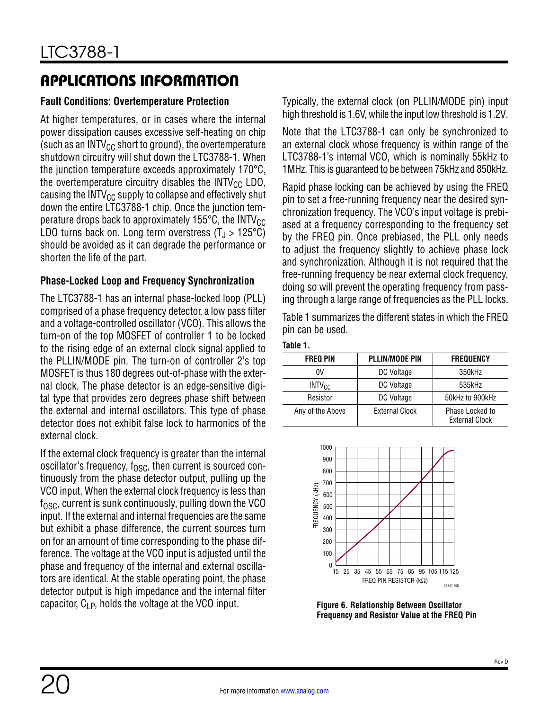#### **Fault Conditions: Overtemperature Protection**

At higher temperatures, or in cases where the internal power dissipation causes excessive self-heating on chip (such as an INTV $_{\text{CC}}$  short to ground), the overtemperature shutdown circuitry will shut down the LTC3788-1. When the junction temperature exceeds approximately 170°C, the overtemperature circuitry disables the  $INTV_{CC}$  LDO, causing the  $INTV_{CC}$  supply to collapse and effectively shut down the entire LTC3788-1 chip. Once the junction temperature drops back to approximately 155 $\degree$ C, the INTV<sub>CC</sub> LDO turns back on. Long term overstress  $(T_1 > 125^{\circ}C)$ should be avoided as it can degrade the performance or shorten the life of the part.

#### **Phase-Locked Loop and Frequency Synchronization**

The LTC3788-1 has an internal phase-locked loop (PLL) comprised of a phase frequency detector, a low pass filter and a voltage-controlled oscillator (VCO). This allows the turn-on of the top MOSFET of controller 1 to be locked to the rising edge of an external clock signal applied to the PLLIN/MODE pin. The turn-on of controller 2's top MOSFET is thus 180 degrees out-of-phase with the external clock. The phase detector is an edge-sensitive digital type that provides zero degrees phase shift between the external and internal oscillators. This type of phase detector does not exhibit false lock to harmonics of the external clock.

If the external clock frequency is greater than the internal oscillator's frequency,  $f_{\rm OSC}$ , then current is sourced continuously from the phase detector output, pulling up the VCO input. When the external clock frequency is less than  $f_{\Omega SC}$ , current is sunk continuously, pulling down the VCO input. If the external and internal frequencies are the same but exhibit a phase difference, the current sources turn on for an amount of time corresponding to the phase difference. The voltage at the VCO input is adjusted until the phase and frequency of the internal and external oscillators are identical. At the stable operating point, the phase detector output is high impedance and the internal filter capacitor,  $C_{LP}$ , holds the voltage at the VCO input.

Typically, the external clock (on PLLIN/MODE pin) input high threshold is 1.6V, while the input low threshold is 1.2V.

Note that the LTC3788-1 can only be synchronized to an external clock whose frequency is within range of the LTC3788-1's internal VCO, which is nominally 55kHz to 1MHz. This is guaranteed to be between 75kHz and 850kHz.

Rapid phase locking can be achieved by using the FREQ pin to set a free-running frequency near the desired synchronization frequency. The VCO's input voltage is prebiased at a frequency corresponding to the frequency set by the FREQ pin. Once prebiased, the PLL only needs to adjust the frequency slightly to achieve phase lock and synchronization. Although it is not required that the free-running frequency be near external clock frequency, doing so will prevent the operating frequency from passing through a large range of frequencies as the PLL locks.

[Table 1](#page-19-1) summarizes the different states in which the FREQ pin can be used.

<span id="page-19-1"></span>

| Tablı<br>e |  |
|------------|--|
|------------|--|

| <b>FREQ PIN</b>  | <b>PLLIN/MODE PIN</b> | <b>FREQUENCY</b>                         |
|------------------|-----------------------|------------------------------------------|
| 0V               | DC Voltage            | 350kHz                                   |
| $INTV_{CC}$      | DC Voltage            | 535kHz                                   |
| Resistor         | DC Voltage            | 50kHz to 900kHz                          |
| Any of the Above | <b>External Clock</b> | Phase Locked to<br><b>External Clock</b> |



<span id="page-19-0"></span>**Figure 6. Relationship Between Oscillator Frequency and Resistor Value at the FREQ Pin**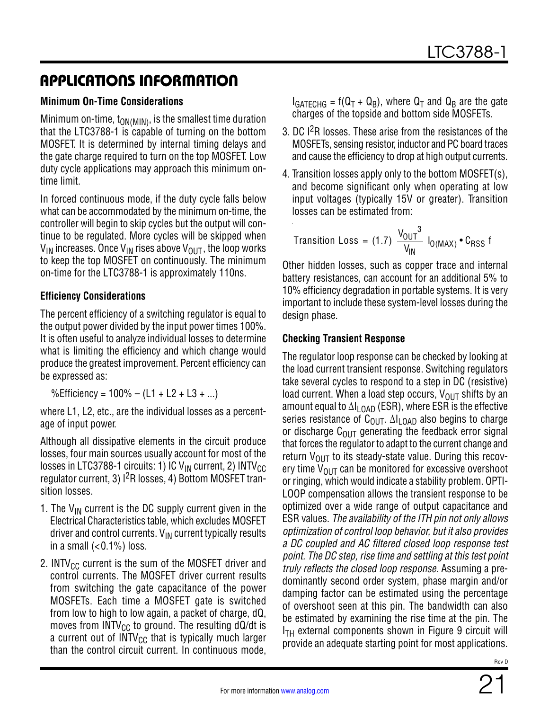#### <span id="page-20-0"></span>**Minimum On-Time Considerations**

Minimum on-time,  $t_{ON(MIN)}$ , is the smallest time duration that the LTC3788-1 is capable of turning on the bottom MOSFET. It is determined by internal timing delays and the gate charge required to turn on the top MOSFET. Low duty cycle applications may approach this minimum ontime limit.

In forced continuous mode, if the duty cycle falls below what can be accommodated by the minimum on-time, the controller will begin to skip cycles but the output will continue to be regulated. More cycles will be skipped when  $V_{IN}$  increases. Once  $V_{IN}$  rises above  $V_{OUT}$ , the loop works to keep the top MOSFET on continuously. The minimum on-time for the LTC3788-1 is approximately 110ns.

#### <span id="page-20-1"></span>**Efficiency Considerations**

The percent efficiency of a switching regulator is equal to the output power divided by the input power times 100%. It is often useful to analyze individual losses to determine what is limiting the efficiency and which change would produce the greatest improvement. Percent efficiency can be expressed as:

%Efficiency =  $100\% - (L1 + L2 + L3 + ...)$ 

where L1, L2, etc., are the individual losses as a percentage of input power.

Although all dissipative elements in the circuit produce losses, four main sources usually account for most of the losses in LTC3788-1 circuits: 1) IC  $V_{IN}$  current, 2) INTV<sub>CC</sub> regulator current, 3) <sup>2</sup>R losses, 4) Bottom MOSFET transition losses.

- 1. The  $V_{IN}$  current is the DC supply current given in the Electrical Characteristics table, which excludes MOSFET driver and control currents.  $V_{IN}$  current typically results in a small  $( $0.1\%$ ) loss.$
- 2. INTV<sub>CC</sub> current is the sum of the MOSFET driver and control currents. The MOSFET driver current results from switching the gate capacitance of the power MOSFETs. Each time a MOSFET gate is switched from low to high to low again, a packet of charge, dQ, moves from  $INTV_{CC}$  to ground. The resulting dQ/dt is a current out of  $INTV_{CC}$  that is typically much larger than the control circuit current. In continuous mode,

 $I_{GATECHG}$  = f(Q<sub>T</sub> + Q<sub>B</sub>), where Q<sub>T</sub> and Q<sub>B</sub> are the gate charges of the topside and bottom side MOSFETs.

- 3. DC I2R losses. These arise from the resistances of the MOSFETs, sensing resistor, inductor and PC board traces and cause the efficiency to drop at high output currents.
- 4. Transition losses apply only to the bottom MOSFET(s), and become significant only when operating at low input voltages (typically 15V or greater). Transition losses can be estimated from:

$$
transition Loss = (1.7) \frac{V_{OUT}^{3}}{V_{IN}} I_{O(MAX)} \cdot C_{RSS} f
$$

Other hidden losses, such as copper trace and internal battery resistances, can account for an additional 5% to 10% efficiency degradation in portable systems. It is very important to include these system-level losses during the design phase.

#### **Checking Transient Response**

The regulator loop response can be checked by looking at the load current transient response. Switching regulators take several cycles to respond to a step in DC (resistive) load current. When a load step occurs,  $V_{OIII}$  shifts by an amount equal to  $\Delta I_{\text{LOAD}}$  (ESR), where ESR is the effective series resistance of C<sub>OUT</sub>.  $\Delta I_{\text{LOAD}}$  also begins to charge or discharge  $C_{\text{OUT}}$  generating the feedback error signal that forces the regulator to adapt to the current change and return  $V_{\text{OUT}}$  to its steady-state value. During this recovery time  $V_{\text{OUT}}$  can be monitored for excessive overshoot or ringing, which would indicate a stability problem. OPTI-LOOP compensation allows the transient response to be optimized over a wide range of output capacitance and ESR values. *The availability of the ITH pin not only allows optimization of control loop behavior, but it also provides a DC coupled and AC filtered closed loop response test point. The DC step, rise time and settling at this test point truly reflects the closed loop response.* Assuming a predominantly second order system, phase margin and/or damping factor can be estimated using the percentage of overshoot seen at this pin. The bandwidth can also be estimated by examining the rise time at the pin. The  $I<sub>TH</sub>$  external components shown in [Figure 9](#page-25-0) circuit will provide an adequate starting point for most applications.

Rev D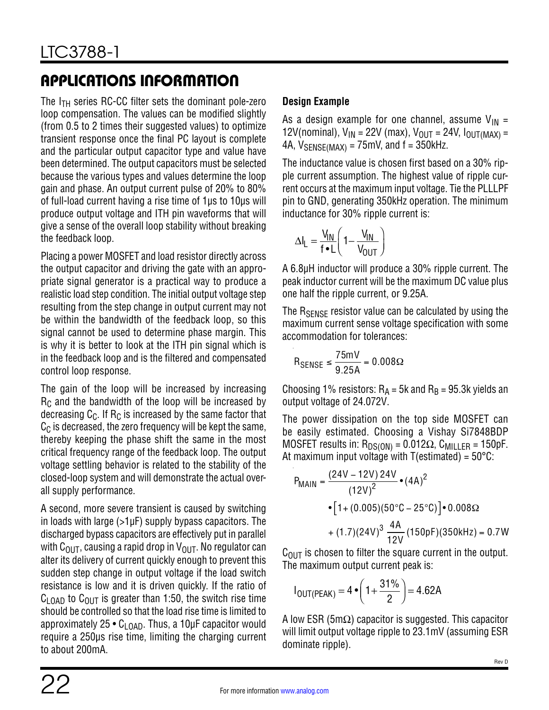The  $I_{TH}$  series RC-CC filter sets the dominant pole-zero loop compensation. The values can be modified slightly (from 0.5 to 2 times their suggested values) to optimize transient response once the final PC layout is complete and the particular output capacitor type and value have been determined. The output capacitors must be selected because the various types and values determine the loop gain and phase. An output current pulse of 20% to 80% of full-load current having a rise time of 1µs to 10µs will produce output voltage and ITH pin waveforms that will give a sense of the overall loop stability without breaking the feedback loop.

Placing a power MOSFET and load resistor directly across the output capacitor and driving the gate with an appropriate signal generator is a practical way to produce a realistic load step condition. The initial output voltage step resulting from the step change in output current may not be within the bandwidth of the feedback loop, so this signal cannot be used to determine phase margin. This is why it is better to look at the ITH pin signal which is in the feedback loop and is the filtered and compensated control loop response.

The gain of the loop will be increased by increasing  $R<sub>C</sub>$  and the bandwidth of the loop will be increased by decreasing  $C_{\text{C}}$ . If R<sub>C</sub> is increased by the same factor that  $C_{\text{C}}$  is decreased, the zero frequency will be kept the same, thereby keeping the phase shift the same in the most critical frequency range of the feedback loop. The output voltage settling behavior is related to the stability of the closed-loop system and will demonstrate the actual overall supply performance.

A second, more severe transient is caused by switching in loads with large  $(>1\mu$ F) supply bypass capacitors. The discharged bypass capacitors are effectively put in parallel with C<sub>OUT</sub>, causing a rapid drop in V<sub>OUT</sub>. No regulator can alter its delivery of current quickly enough to prevent this sudden step change in output voltage if the load switch resistance is low and it is driven quickly. If the ratio of  $C_{LOAD}$  to  $C_{OUT}$  is greater than 1:50, the switch rise time should be controlled so that the load rise time is limited to approximately 25  $\bullet$  C<sub>LOAD</sub>. Thus, a 10µF capacitor would require a 250µs rise time, limiting the charging current to about 200mA.

#### **Design Example**

As a design example for one channel, assume  $V_{IN}$  = 12V(nominal),  $V_{IN}$  = 22V (max),  $V_{OUT}$  = 24V,  $I_{OUT(MAX)}$  = 4A,  $V_{\text{SENSE} (MAX)} = 75 \text{mV}$ , and  $f = 350 \text{kHz}$ .

The inductance value is chosen first based on a 30% ripple current assumption. The highest value of ripple current occurs at the maximum input voltage. Tie the PLLLPF pin to GND, generating 350kHz operation. The minimum inductance for 30% ripple current is:

$$
\Delta I_L = \frac{V_{IN}}{f \cdot L} \left( 1 - \frac{V_{IN}}{V_{OUT}} \right)
$$

A 6.8µH inductor will produce a 30% ripple current. The peak inductor current will be the maximum DC value plus one half the ripple current, or 9.25A.

The  $R_{\text{SFNSF}}$  resistor value can be calculated by using the maximum current sense voltage specification with some accommodation for tolerances:

$$
R_{\text{SENSE}} \le \frac{75 \text{mV}}{9.25 \text{A}} = 0.008 \Omega
$$

Choosing 1% resistors:  $R_A = 5k$  and  $R_B = 95.3k$  yields an output voltage of 24.072V.

The power dissipation on the top side MOSFET can be easily estimated. Choosing a Vishay Si7848BDP MOSFET results in:  $R_{DS(ON)} = 0.012\Omega$ , C<sub>MILLER</sub> = 150pF. At maximum input voltage with  $T(estimated) = 50^{\circ}$ C:

$$
PMAIN = \frac{(24V - 12V) 24V}{(12V)^{2}} \cdot (4A)^{2}
$$
  
• [1 + (0.005)(50°C – 25°C)] • 0.008Ω  
+ (1.7)(24V)<sup>3</sup>  $\frac{4A}{12V}$  (150pF)(350kHz) = 0.7W

 $C<sub>OUT</sub>$  is chosen to filter the square current in the output. The maximum output current peak is:

$$
I_{OUT(PEAK)} = 4 \cdot \left(1 + \frac{31\%}{2}\right) = 4.62A
$$

A low ESR (5m $\Omega$ ) capacitor is suggested. This capacitor will limit output voltage ripple to 23.1mV (assuming ESR dominate ripple).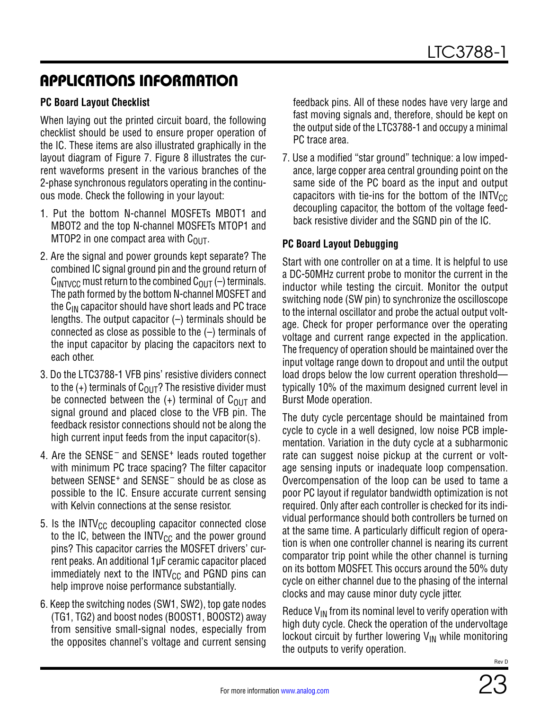#### **PC Board Layout Checklist**

When laying out the printed circuit board, the following checklist should be used to ensure proper operation of the IC. These items are also illustrated graphically in the layout diagram of [Figure 7.](#page-23-0) [Figure 8](#page-24-0) illustrates the current waveforms present in the various branches of the 2-phase synchronous regulators operating in the continuous mode. Check the following in your layout:

- 1. Put the bottom N-channel MOSFETs MBOT1 and MBOT2 and the top N-channel MOSFETs MTOP1 and MTOP2 in one compact area with  $C<sub>OUT</sub>$ .
- 2. Are the signal and power grounds kept separate? The combined IC signal ground pin and the ground return of  $C_{\text{INTVCC}}$  must return to the combined  $C_{\text{OUT}}(-)$  terminals. The path formed by the bottom N-channel MOSFET and the  $C_{IN}$  capacitor should have short leads and PC trace lengths. The output capacitor  $(-)$  terminals should be connected as close as possible to the (–) terminals of the input capacitor by placing the capacitors next to each other.
- 3. Do the LTC3788-1 VFB pins' resistive dividers connect to the  $(+)$  terminals of  $C_{OUT}$ ? The resistive divider must be connected between the  $(+)$  terminal of C<sub>OUT</sub> and signal ground and placed close to the VFB pin. The feedback resistor connections should not be along the high current input feeds from the input capacitor(s).
- 4. Are the  $SENSE^-$  and  $SENSE^+$  leads routed together with minimum PC trace spacing? The filter capacitor between SENSE<sup>+</sup> and SENSE<sup>-</sup> should be as close as possible to the IC. Ensure accurate current sensing with Kelvin connections at the sense resistor.
- 5. Is the INTV $_{\text{CC}}$  decoupling capacitor connected close to the IC, between the INTV $_{\text{CC}}$  and the power ground pins? This capacitor carries the MOSFET drivers' current peaks. An additional 1µF ceramic capacitor placed immediately next to the  $INTV_{CC}$  and PGND pins can help improve noise performance substantially.
- 6. Keep the switching nodes (SW1, SW2), top gate nodes (TG1, TG2) and boost nodes (BOOST1, BOOST2) away from sensitive small-signal nodes, especially from the opposites channel's voltage and current sensing

feedback pins. All of these nodes have very large and fast moving signals and, therefore, should be kept on the output side of the LTC3788-1 and occupy a minimal PC trace area.

7. Use a modified "star ground" technique: a low impedance, large copper area central grounding point on the same side of the PC board as the input and output capacitors with tie-ins for the bottom of the  $INTV_{CC}$ decoupling capacitor, the bottom of the voltage feedback resistive divider and the SGND pin of the IC.

#### **PC Board Layout Debugging**

Start with one controller on at a time. It is helpful to use a DC-50MHz current probe to monitor the current in the inductor while testing the circuit. Monitor the output switching node (SW pin) to synchronize the oscilloscope to the internal oscillator and probe the actual output voltage. Check for proper performance over the operating voltage and current range expected in the application. The frequency of operation should be maintained over the input voltage range down to dropout and until the output load drops below the low current operation threshold typically 10% of the maximum designed current level in Burst Mode operation.

The duty cycle percentage should be maintained from cycle to cycle in a well designed, low noise PCB implementation. Variation in the duty cycle at a subharmonic rate can suggest noise pickup at the current or voltage sensing inputs or inadequate loop compensation. Overcompensation of the loop can be used to tame a poor PC layout if regulator bandwidth optimization is not required. Only after each controller is checked for its individual performance should both controllers be turned on at the same time. A particularly difficult region of operation is when one controller channel is nearing its current comparator trip point while the other channel is turning on its bottom MOSFET. This occurs around the 50% duty cycle on either channel due to the phasing of the internal clocks and may cause minor duty cycle jitter.

Reduce  $V_{IN}$  from its nominal level to verify operation with high duty cycle. Check the operation of the undervoltage lockout circuit by further lowering  $V_{IN}$  while monitoring the outputs to verify operation.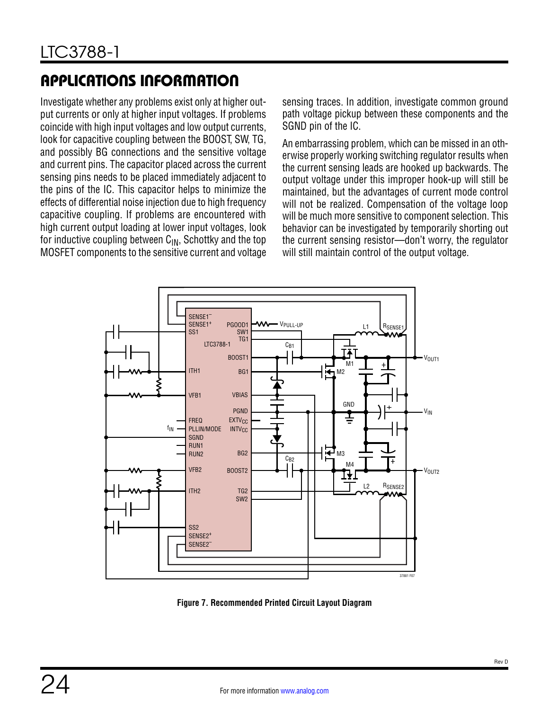Investigate whether any problems exist only at higher output currents or only at higher input voltages. If problems coincide with high input voltages and low output currents, look for capacitive coupling between the BOOST, SW, TG, and possibly BG connections and the sensitive voltage and current pins. The capacitor placed across the current sensing pins needs to be placed immediately adjacent to the pins of the IC. This capacitor helps to minimize the effects of differential noise injection due to high frequency capacitive coupling. If problems are encountered with high current output loading at lower input voltages, look for inductive coupling between  $C_{IN}$ , Schottky and the top MOSFET components to the sensitive current and voltage sensing traces. In addition, investigate common ground path voltage pickup between these components and the SGND pin of the IC.

An embarrassing problem, which can be missed in an otherwise properly working switching regulator results when the current sensing leads are hooked up backwards. The output voltage under this improper hook-up will still be maintained, but the advantages of current mode control will not be realized. Compensation of the voltage loop will be much more sensitive to component selection. This behavior can be investigated by temporarily shorting out the current sensing resistor—don't worry, the regulator will still maintain control of the output voltage.



<span id="page-23-0"></span>**Figure 7. Recommended Printed Circuit Layout Diagram**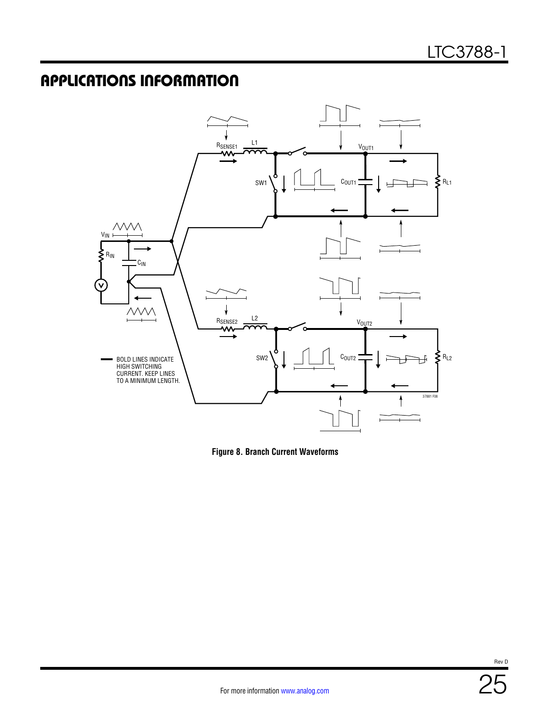

<span id="page-24-0"></span>**Figure 8. Branch Current Waveforms**

Rev D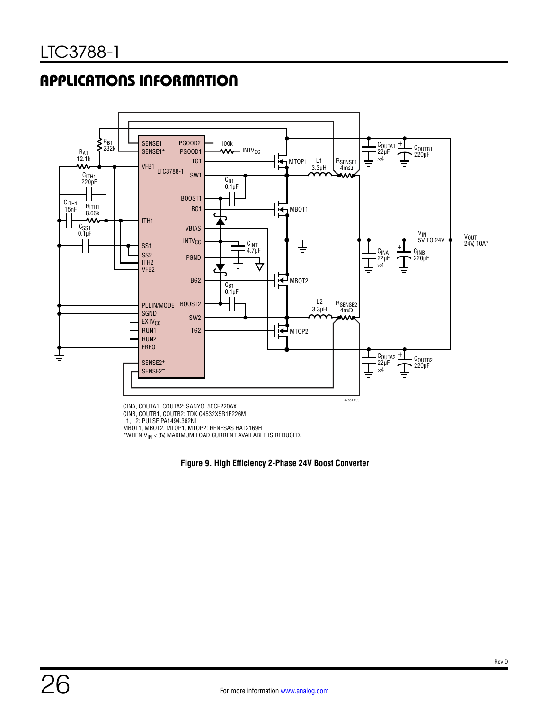

CINB, COUTB1, COUTB2: TDK C4532X5R1E226M L1, L2: PULSE PA1494.362NL MBOT1, MBOT2, MTOP1, MTOP2: RENESAS HAT2169H \*WHEN VIN < 8V, MAXIMUM LOAD CURRENT AVAILABLE IS REDUCED.

<span id="page-25-0"></span>**Figure 9. High Efficiency 2-Phase 24V Boost Converter**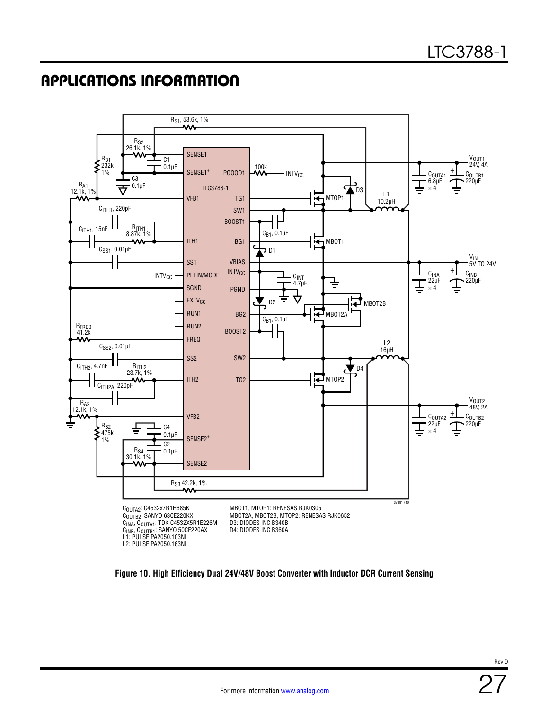

<span id="page-26-0"></span>**Figure 10. High Efficiency Dual 24V/48V Boost Converter with Inductor DCR Current Sensing**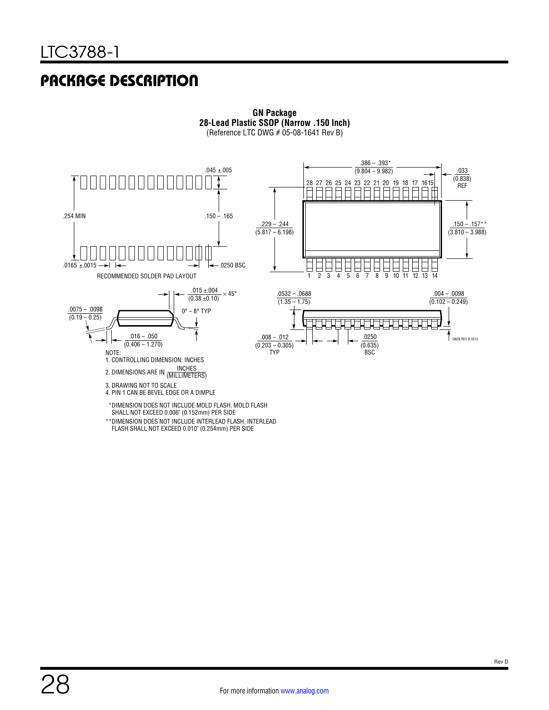# PACKAGE DESCRIPTION



**GN Package 28-Lead Plastic SSOP (Narrow .150 Inch)** (Reference LTC DWG # 05-08-1641 Rev B)

#### FLASH SHALL NOT EXCEED 0.010" (0.254mm) PER SIDE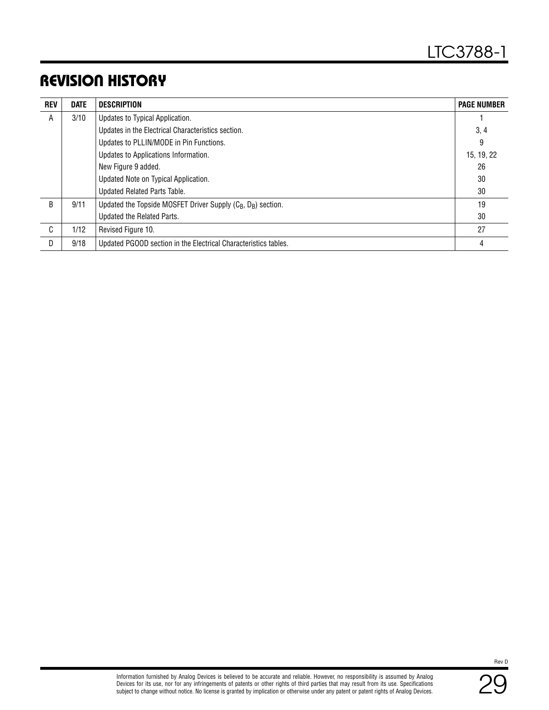# REVISION HISTORY

| <b>REV</b> | <b>DATE</b> | <b>DESCRIPTION</b>                                                                   | <b>PAGE NUMBER</b> |
|------------|-------------|--------------------------------------------------------------------------------------|--------------------|
| A          | 3/10        | Updates to Typical Application.                                                      |                    |
|            |             | Updates in the Electrical Characteristics section.                                   | 3, 4               |
|            |             | Updates to PLLIN/MODE in Pin Functions.                                              | 9                  |
|            |             | Updates to Applications Information.                                                 | 15, 19, 22         |
|            |             | New Figure 9 added.                                                                  | 26                 |
|            |             | Updated Note on Typical Application.                                                 | 30                 |
|            |             | Updated Related Parts Table.                                                         | 30                 |
| B.         | 9/11        | Updated the Topside MOSFET Driver Supply (C <sub>B</sub> , D <sub>B</sub> ) section. | 19                 |
|            |             | Updated the Related Parts.                                                           | 30                 |
| C          | 1/12        | Revised Figure 10.                                                                   | 27                 |
| D          | 9/18        | Updated PGOOD section in the Electrical Characteristics tables.                      | 4                  |

Rev D